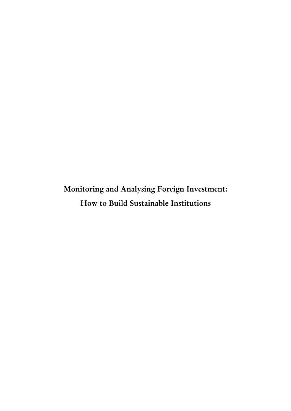Monitoring and Analysing Foreign Investment: How to Build Sustainable Institutions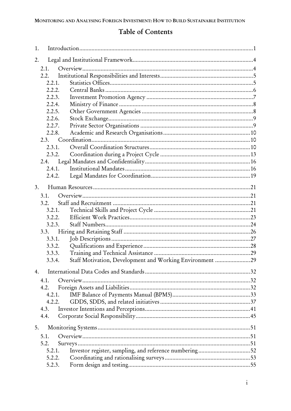### Table of Contents

| 1.               |        |                                                          |  |
|------------------|--------|----------------------------------------------------------|--|
| 2.               |        |                                                          |  |
| 2.1.             |        |                                                          |  |
|                  | 2.2.   |                                                          |  |
|                  | 2.2.1. |                                                          |  |
|                  | 2.2.2. |                                                          |  |
|                  | 2.2.3. |                                                          |  |
|                  | 2.2.4. |                                                          |  |
|                  | 2.2.5. |                                                          |  |
|                  | 2.2.6. |                                                          |  |
|                  | 2.2.7. |                                                          |  |
|                  | 2.2.8. |                                                          |  |
|                  |        |                                                          |  |
|                  | 2.3.1. |                                                          |  |
|                  | 2.3.2. |                                                          |  |
|                  | 2.4.   |                                                          |  |
|                  | 2.4.1. |                                                          |  |
|                  | 2.4.2. |                                                          |  |
| $\overline{3}$ . |        |                                                          |  |
| 3.1.             |        |                                                          |  |
|                  | 3.2.   |                                                          |  |
|                  | 3.2.1. |                                                          |  |
|                  | 3.2.2. |                                                          |  |
|                  | 3.2.3. |                                                          |  |
|                  | 3.3.   |                                                          |  |
|                  | 3.3.1. |                                                          |  |
|                  | 3.3.2. |                                                          |  |
|                  | 3.3.3. |                                                          |  |
|                  | 3.3.4. | Staff Motivation, Development and Working Environment 29 |  |
| 4.               |        |                                                          |  |
| 4.1.             |        |                                                          |  |
| 4.2.             |        |                                                          |  |
|                  | 4.2.1. |                                                          |  |
|                  | 4.2.2. |                                                          |  |
| 4.3.             |        |                                                          |  |
| 4.4.             |        |                                                          |  |
| 5.               |        |                                                          |  |
| 5.1.             |        |                                                          |  |
| 5.2.             |        |                                                          |  |
|                  | 5.2.1. | Investor register, sampling, and reference numbering52   |  |
|                  | 5.2.2. |                                                          |  |
|                  | 5.2.3. |                                                          |  |
|                  |        |                                                          |  |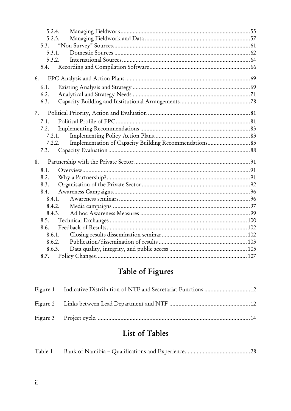| 5.2.4. |                                                                  |  |
|--------|------------------------------------------------------------------|--|
| 5.2.5. |                                                                  |  |
|        |                                                                  |  |
| 5.3.1. |                                                                  |  |
|        | 5.3.2.                                                           |  |
| 5.4.   |                                                                  |  |
| 6.     |                                                                  |  |
| 6.1.   |                                                                  |  |
| 6.2.   |                                                                  |  |
| 6.3.   |                                                                  |  |
| 7.     |                                                                  |  |
| 7.1.   |                                                                  |  |
| 7.2.   |                                                                  |  |
|        | 7.2.1.                                                           |  |
|        | Implementation of Capacity Building Recommendations 85<br>7.2.2. |  |
| 7.3.   |                                                                  |  |
| 8.     |                                                                  |  |
| 8.1.   |                                                                  |  |
| 8.2.   |                                                                  |  |
| 8.3.   |                                                                  |  |
| 8.4.   |                                                                  |  |
| 8.4.1. |                                                                  |  |
|        | 8.4.2.                                                           |  |
|        | 8.4.3.                                                           |  |
| 8.5.   |                                                                  |  |
| 8.6.   |                                                                  |  |
| 8.6.1. |                                                                  |  |
| 8.6.2. |                                                                  |  |
| 8.6.3. |                                                                  |  |
| 8.7.   |                                                                  |  |

# Table of Figures

| Figure 1 Indicative Distribution of NTF and Secretariat Functions  12 |  |
|-----------------------------------------------------------------------|--|
|                                                                       |  |
|                                                                       |  |

## List of Tables

|--|--|--|--|--|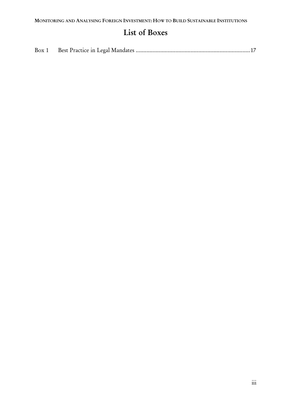### List of Boxes

| Box 1 |  |
|-------|--|
|       |  |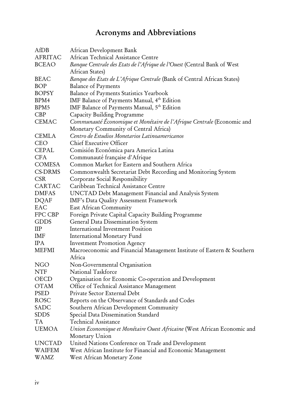## Acronyms and Abbreviations

| AfDB          | African Development Bank                                                 |
|---------------|--------------------------------------------------------------------------|
| AFRITAC       | African Technical Assistance Centre                                      |
| <b>BCEAO</b>  | Banque Centrale des Etats de l'Afrique de l'Ouest (Central Bank of West  |
|               | African States)                                                          |
| <b>BEAC</b>   | Banque des Etats de L'Afrique Centrale (Bank of Central African States)  |
| <b>BOP</b>    | <b>Balance of Payments</b>                                               |
| <b>BOPSY</b>  | Balance of Payments Statistics Yearbook                                  |
| BPM4          | IMF Balance of Payments Manual, 4th Edition                              |
| BPM5          | IMF Balance of Payments Manual, 5th Edition                              |
| CBP           | Capacity Building Programme                                              |
| <b>CEMAC</b>  | Communauté Économique et Monétaire de l'Afrique Centrale (Economic and   |
|               | Monetary Community of Central Africa)                                    |
| <b>CEMLA</b>  | Centro de Estudios Monetarios Latinoamericanos                           |
| <b>CEO</b>    | Chief Executive Officer                                                  |
| <b>CEPAL</b>  | Comisión Económica para America Latina                                   |
| <b>CFA</b>    | Communauté française d'Afrique                                           |
| <b>COMESA</b> | Common Market for Eastern and Southern Africa                            |
| CS-DRMS       | Commonwealth Secretariat Debt Recording and Monitoring System            |
| <b>CSR</b>    | Corporate Social Responsibility                                          |
| CARTAC        | Caribbean Technical Assistance Centre                                    |
| <b>DMFAS</b>  | UNCTAD Debt Management Financial and Analysis System                     |
| <b>DQAF</b>   | IMF's Data Quality Assessment Framework                                  |
| <b>EAC</b>    | East African Community                                                   |
| FPC CBP       | Foreign Private Capital Capacity Building Programme                      |
| <b>GDDS</b>   | General Data Dissemination System                                        |
| $_{\rm{HP}}$  | <b>International Investment Position</b>                                 |
| IMF           | International Monetary Fund                                              |
| <b>IPA</b>    | <b>Investment Promotion Agency</b>                                       |
| <b>MEFMI</b>  | Macroeconomic and Financial Management Institute of Eastern & Southern   |
|               | Africa                                                                   |
| <b>NGO</b>    | Non-Governmental Organisation                                            |
| <b>NTF</b>    | National Taskforce                                                       |
| OECD          | Organisation for Economic Co-operation and Development                   |
| <b>OTAM</b>   | Office of Technical Assistance Management                                |
| PSED          | Private Sector External Debt                                             |
| <b>ROSC</b>   | Reports on the Observance of Standards and Codes                         |
| SADC          | Southern African Development Community                                   |
| <b>SDDS</b>   | Special Data Dissemination Standard                                      |
| TA            | <b>Technical Assistance</b>                                              |
| <b>UEMOA</b>  | Union Economique et Monétaire Ouest Africaine (West African Economic and |
|               | Monetary Union                                                           |
| <b>UNCTAD</b> | United Nations Conference on Trade and Development                       |
| WAIFEM        | West African Institute for Financial and Economic Management             |
| WAMZ          | West African Monetary Zone                                               |
|               |                                                                          |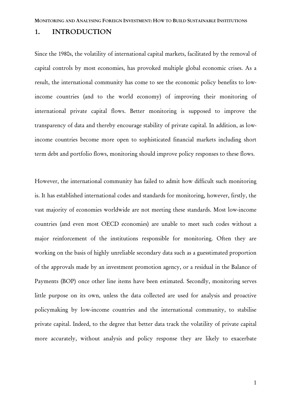#### 1. INTRODUCTION

Since the 1980s, the volatility of international capital markets, facilitated by the removal of capital controls by most economies, has provoked multiple global economic crises. As a result, the international community has come to see the economic policy benefits to lowincome countries (and to the world economy) of improving their monitoring of international private capital flows. Better monitoring is supposed to improve the transparency of data and thereby encourage stability of private capital. In addition, as lowincome countries become more open to sophisticated financial markets including short term debt and portfolio flows, monitoring should improve policy responses to these flows.

However, the international community has failed to admit how difficult such monitoring is. It has established international codes and standards for monitoring, however, firstly, the vast majority of economies worldwide are not meeting these standards. Most low-income countries (and even most OECD economies) are unable to meet such codes without a major reinforcement of the institutions responsible for monitoring. Often they are working on the basis of highly unreliable secondary data such as a guesstimated proportion of the approvals made by an investment promotion agency, or a residual in the Balance of Payments (BOP) once other line items have been estimated. Secondly, monitoring serves little purpose on its own, unless the data collected are used for analysis and proactive policymaking by low-income countries and the international community, to stabilise private capital. Indeed, to the degree that better data track the volatility of private capital more accurately, without analysis and policy response they are likely to exacerbate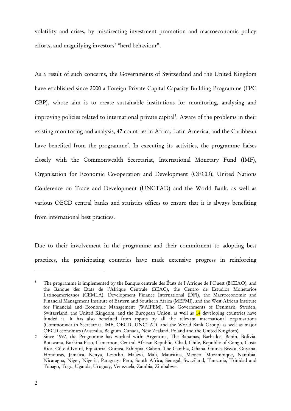volatility and crises, by misdirecting investment promotion and macroeconomic policy efforts, and magnifying investors' "herd behaviour".

As a result of such concerns, the Governments of Switzerland and the United Kingdom have established since 2000 a Foreign Private Capital Capacity Building Programme (FPC CBP), whose aim is to create sustainable institutions for monitoring, analysing and improving policies related to international private capital<sup>1</sup>. Aware of the problems in their existing monitoring and analysis, 47 countries in Africa, Latin America, and the Caribbean have benefited from the programme<sup>2</sup>. In executing its activities, the programme liaises closely with the Commonwealth Secretariat, International Monetary Fund (IMF), Organisation for Economic Co-operation and Development (OECD), United Nations Conference on Trade and Development (UNCTAD) and the World Bank, as well as various OECD central banks and statistics offices to ensure that it is always benefiting from international best practices.

Due to their involvement in the programme and their commitment to adopting best practices, the participating countries have made extensive progress in reinforcing

 $\overline{a}$ 

<sup>1</sup> The programme is implemented by the Banque centrale des États de l'Afrique de l'Ouest (BCEAO), and the Banque des Etats de l'Afrique Centrale (BEAC), the Centro de Estudios Monetarios Latinoamericanos (CEMLA), Development Finance International (DFI), the Macroeconomic and Financial Management Institute of Eastern and Southern Africa (MEFMI), and the West African Institute for Financial and Economic Management (WAIFEM). The Governments of Denmark, Sweden, Switzerland, the United Kingdom, and the European Union, as well as 14 developing countries have funded it. It has also benefited from inputs by all the relevant international organisations (Commonwealth Secretariat, IMF, OECD, UNCTAD, and the World Bank Group) as well as major OECD economies (Australia, Belgium, Canada, New Zealand, Poland and the United Kingdom).

<sup>2</sup> Since 1997, the Programme has worked with: Argentina, The Bahamas, Barbados, Benin, Bolivia, Botswana, Burkina Faso, Cameroon, Central African Republic, Chad, Chile, Republic of Congo, Costa Rica, Côte d'Ivoire, Equatorial Guinea, Ethiopia, Gabon, The Gambia, Ghana, Guinea-Bissau, Guyana, Honduras, Jamaica, Kenya, Lesotho, Malawi, Mali, Mauritius, Mexico, Mozambique, Namibia, Nicaragua, Niger, Nigeria, Paraguay, Peru, South Africa, Senegal, Swaziland, Tanzania, Trinidad and Tobago, Togo, Uganda, Uruguay, Venezuela, Zambia, Zimbabwe.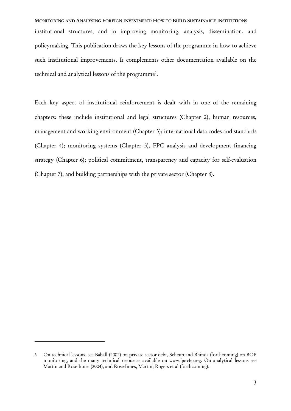MONITORING AND ANALYSING FOREIGN INVESTMENT: HOW TO BUILD SUSTAINABLE INSTITUTIONS institutional structures, and in improving monitoring, analysis, dissemination, and policymaking. This publication draws the key lessons of the programme in how to achieve such institutional improvements. It complements other documentation available on the technical and analytical lessons of the programme<sup>3</sup>.

Each key aspect of institutional reinforcement is dealt with in one of the remaining chapters: these include institutional and legal structures (Chapter 2), human resources, management and working environment (Chapter 3); international data codes and standards (Chapter 4); monitoring systems (Chapter 5), FPC analysis and development financing strategy (Chapter 6); political commitment, transparency and capacity for self-evaluation (Chapter 7), and building partnerships with the private sector (Chapter 8).

 $\overline{a}$ 

<sup>3</sup> On technical lessons, see Baball (2002) on private sector debt, Scheun and Bhinda (forthcoming) on BOP monitoring, and the many technical resources available on www.fpc-cbp.org. On analytical lessons see Martin and Rose-Innes (2004), and Rose-Innes, Martin, Rogers et al (forthcoming).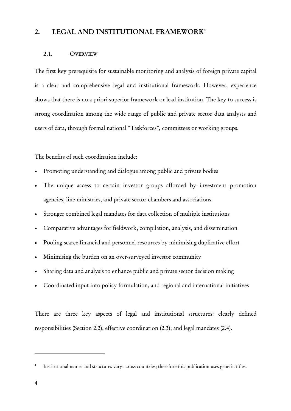#### 2. LEGAL AND INSTITUTIONAL FRAMEWORK<sup>4</sup>

#### 2.1. OVERVIEW

The first key prerequisite for sustainable monitoring and analysis of foreign private capital is a clear and comprehensive legal and institutional framework. However, experience shows that there is no a priori superior framework or lead institution. The key to success is strong coordination among the wide range of public and private sector data analysts and users of data, through formal national "Taskforces", committees or working groups.

The benefits of such coordination include:

- Promoting understanding and dialogue among public and private bodies
- The unique access to certain investor groups afforded by investment promotion agencies, line ministries, and private sector chambers and associations
- Stronger combined legal mandates for data collection of multiple institutions
- Comparative advantages for fieldwork, compilation, analysis, and dissemination
- Pooling scarce financial and personnel resources by minimising duplicative effort
- Minimising the burden on an over-surveyed investor community
- Sharing data and analysis to enhance public and private sector decision making
- Coordinated input into policy formulation, and regional and international initiatives

There are three key aspects of legal and institutional structures: clearly defined responsibilities (Section 2.2); effective coordination (2.3); and legal mandates (2.4).

 $\overline{a}$ 

<sup>4</sup> Institutional names and structures vary across countries; therefore this publication uses generic titles.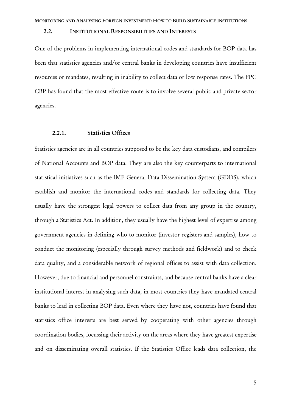#### 2.2. INSTITUTIONAL RESPONSIBILITIES AND INTERESTS

One of the problems in implementing international codes and standards for BOP data has been that statistics agencies and/or central banks in developing countries have insufficient resources or mandates, resulting in inability to collect data or low response rates. The FPC CBP has found that the most effective route is to involve several public and private sector agencies.

#### 2.2.1. Statistics Offices

Statistics agencies are in all countries supposed to be the key data custodians, and compilers of National Accounts and BOP data. They are also the key counterparts to international statistical initiatives such as the IMF General Data Dissemination System (GDDS), which establish and monitor the international codes and standards for collecting data. They usually have the strongest legal powers to collect data from any group in the country, through a Statistics Act. In addition, they usually have the highest level of expertise among government agencies in defining who to monitor (investor registers and samples), how to conduct the monitoring (especially through survey methods and fieldwork) and to check data quality, and a considerable network of regional offices to assist with data collection. However, due to financial and personnel constraints, and because central banks have a clear institutional interest in analysing such data, in most countries they have mandated central banks to lead in collecting BOP data. Even where they have not, countries have found that statistics office interests are best served by cooperating with other agencies through coordination bodies, focussing their activity on the areas where they have greatest expertise and on disseminating overall statistics. If the Statistics Office leads data collection, the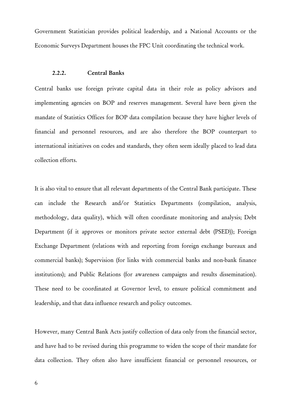Government Statistician provides political leadership, and a National Accounts or the Economic Surveys Department houses the FPC Unit coordinating the technical work.

#### 2.2.2. Central Banks

Central banks use foreign private capital data in their role as policy advisors and implementing agencies on BOP and reserves management. Several have been given the mandate of Statistics Offices for BOP data compilation because they have higher levels of financial and personnel resources, and are also therefore the BOP counterpart to international initiatives on codes and standards, they often seem ideally placed to lead data collection efforts.

It is also vital to ensure that all relevant departments of the Central Bank participate. These can include the Research and/or Statistics Departments (compilation, analysis, methodology, data quality), which will often coordinate monitoring and analysis; Debt Department (if it approves or monitors private sector external debt (PSED)); Foreign Exchange Department (relations with and reporting from foreign exchange bureaux and commercial banks); Supervision (for links with commercial banks and non-bank finance institutions); and Public Relations (for awareness campaigns and results dissemination). These need to be coordinated at Governor level, to ensure political commitment and leadership, and that data influence research and policy outcomes.

However, many Central Bank Acts justify collection of data only from the financial sector, and have had to be revised during this programme to widen the scope of their mandate for data collection. They often also have insufficient financial or personnel resources, or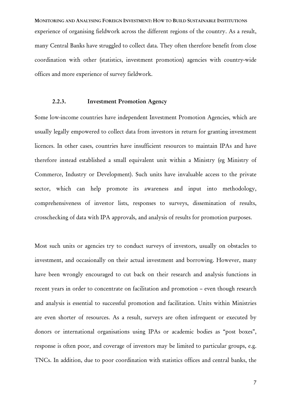MONITORING AND ANALYSING FOREIGN INVESTMENT: HOW TO BUILD SUSTAINABLE INSTITUTIONS experience of organising fieldwork across the different regions of the country. As a result, many Central Banks have struggled to collect data. They often therefore benefit from close coordination with other (statistics, investment promotion) agencies with country-wide offices and more experience of survey fieldwork.

#### 2.2.3. Investment Promotion Agency

Some low-income countries have independent Investment Promotion Agencies, which are usually legally empowered to collect data from investors in return for granting investment licences. In other cases, countries have insufficient resources to maintain IPAs and have therefore instead established a small equivalent unit within a Ministry (eg Ministry of Commerce, Industry or Development). Such units have invaluable access to the private sector, which can help promote its awareness and input into methodology, comprehensiveness of investor lists, responses to surveys, dissemination of results, crosschecking of data with IPA approvals, and analysis of results for promotion purposes.

Most such units or agencies try to conduct surveys of investors, usually on obstacles to investment, and occasionally on their actual investment and borrowing. However, many have been wrongly encouraged to cut back on their research and analysis functions in recent years in order to concentrate on facilitation and promotion – even though research and analysis is essential to successful promotion and facilitation. Units within Ministries are even shorter of resources. As a result, surveys are often infrequent or executed by donors or international organisations using IPAs or academic bodies as "post boxes", response is often poor, and coverage of investors may be limited to particular groups, e.g. TNCs. In addition, due to poor coordination with statistics offices and central banks, the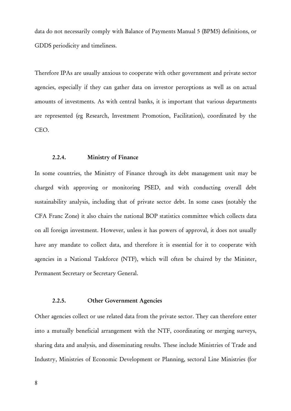data do not necessarily comply with Balance of Payments Manual 5 (BPM5) definitions, or GDDS periodicity and timeliness.

Therefore IPAs are usually anxious to cooperate with other government and private sector agencies, especially if they can gather data on investor perceptions as well as on actual amounts of investments. As with central banks, it is important that various departments are represented (eg Research, Investment Promotion, Facilitation), coordinated by the CEO.

#### 2.2.4. Ministry of Finance

In some countries, the Ministry of Finance through its debt management unit may be charged with approving or monitoring PSED, and with conducting overall debt sustainability analysis, including that of private sector debt. In some cases (notably the CFA Franc Zone) it also chairs the national BOP statistics committee which collects data on all foreign investment. However, unless it has powers of approval, it does not usually have any mandate to collect data, and therefore it is essential for it to cooperate with agencies in a National Taskforce (NTF), which will often be chaired by the Minister, Permanent Secretary or Secretary General.

#### 2.2.5. Other Government Agencies

Other agencies collect or use related data from the private sector. They can therefore enter into a mutually beneficial arrangement with the NTF, coordinating or merging surveys, sharing data and analysis, and disseminating results. These include Ministries of Trade and Industry, Ministries of Economic Development or Planning, sectoral Line Ministries (for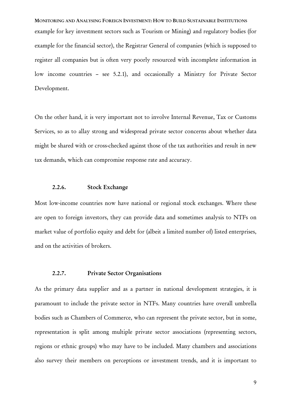MONITORING AND ANALYSING FOREIGN INVESTMENT: HOW TO BUILD SUSTAINABLE INSTITUTIONS example for key investment sectors such as Tourism or Mining) and regulatory bodies (for example for the financial sector), the Registrar General of companies (which is supposed to register all companies but is often very poorly resourced with incomplete information in low income countries – see 5.2.1), and occasionally a Ministry for Private Sector Development.

On the other hand, it is very important not to involve Internal Revenue, Tax or Customs Services, so as to allay strong and widespread private sector concerns about whether data might be shared with or cross-checked against those of the tax authorities and result in new tax demands, which can compromise response rate and accuracy.

#### 2.2.6. Stock Exchange

Most low-income countries now have national or regional stock exchanges. Where these are open to foreign investors, they can provide data and sometimes analysis to NTFs on market value of portfolio equity and debt for (albeit a limited number of) listed enterprises, and on the activities of brokers.

#### 2.2.7. Private Sector Organisations

As the primary data supplier and as a partner in national development strategies, it is paramount to include the private sector in NTFs. Many countries have overall umbrella bodies such as Chambers of Commerce, who can represent the private sector, but in some, representation is split among multiple private sector associations (representing sectors, regions or ethnic groups) who may have to be included. Many chambers and associations also survey their members on perceptions or investment trends, and it is important to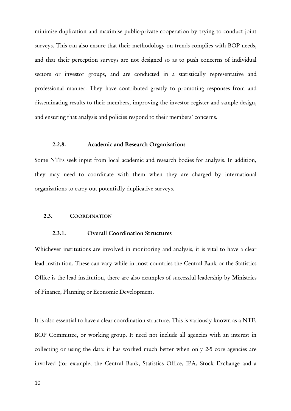minimise duplication and maximise public-private cooperation by trying to conduct joint surveys. This can also ensure that their methodology on trends complies with BOP needs, and that their perception surveys are not designed so as to push concerns of individual sectors or investor groups, and are conducted in a statistically representative and professional manner. They have contributed greatly to promoting responses from and disseminating results to their members, improving the investor register and sample design, and ensuring that analysis and policies respond to their members' concerns.

#### 2.2.8. Academic and Research Organisations

Some NTFs seek input from local academic and research bodies for analysis. In addition, they may need to coordinate with them when they are charged by international organisations to carry out potentially duplicative surveys.

#### 2.3. COORDINATION

#### 2.3.1. Overall Coordination Structures

Whichever institutions are involved in monitoring and analysis, it is vital to have a clear lead institution. These can vary while in most countries the Central Bank or the Statistics Office is the lead institution, there are also examples of successful leadership by Ministries of Finance, Planning or Economic Development.

It is also essential to have a clear coordination structure. This is variously known as a NTF, BOP Committee, or working group. It need not include all agencies with an interest in collecting or using the data: it has worked much better when only 2-5 core agencies are involved (for example, the Central Bank, Statistics Office, IPA, Stock Exchange and a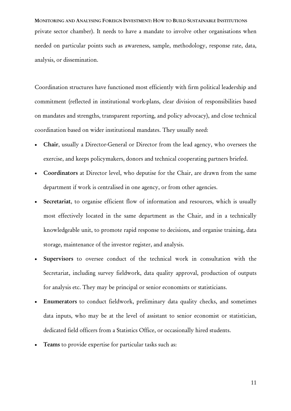MONITORING AND ANALYSING FOREIGN INVESTMENT: HOW TO BUILD SUSTAINABLE INSTITUTIONS private sector chamber). It needs to have a mandate to involve other organisations when needed on particular points such as awareness, sample, methodology, response rate, data, analysis, or dissemination.

Coordination structures have functioned most efficiently with firm political leadership and commitment (reflected in institutional work-plans, clear division of responsibilities based on mandates and strengths, transparent reporting, and policy advocacy), and close technical coordination based on wider institutional mandates. They usually need:

- Chair, usually a Director-General or Director from the lead agency, who oversees the exercise, and keeps policymakers, donors and technical cooperating partners briefed.
- Coordinators at Director level, who deputise for the Chair, are drawn from the same department if work is centralised in one agency, or from other agencies.
- Secretariat, to organise efficient flow of information and resources, which is usually most effectively located in the same department as the Chair, and in a technically knowledgeable unit, to promote rapid response to decisions, and organise training, data storage, maintenance of the investor register, and analysis.
- Supervisors to oversee conduct of the technical work in consultation with the Secretariat, including survey fieldwork, data quality approval, production of outputs for analysis etc. They may be principal or senior economists or statisticians.
- Enumerators to conduct fieldwork, preliminary data quality checks, and sometimes data inputs, who may be at the level of assistant to senior economist or statistician, dedicated field officers from a Statistics Office, or occasionally hired students.
- Teams to provide expertise for particular tasks such as: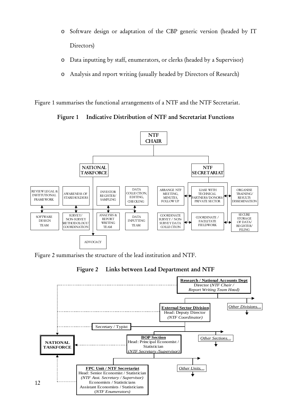- o Software design or adaptation of the CBP generic version (headed by IT Directors)
- o Data inputting by staff, enumerators, or clerks (headed by a Supervisor)
- o Analysis and report writing (usually headed by Directors of Research)

Figure 1 summarises the functional arrangements of a NTF and the NTF Secretariat.

Figure 1 Indicative Distribution of NTF and Secretariat Functions



Figure 2 summarises the structure of the lead institution and NTF.

Figure 2 Links between Lead Department and NTF

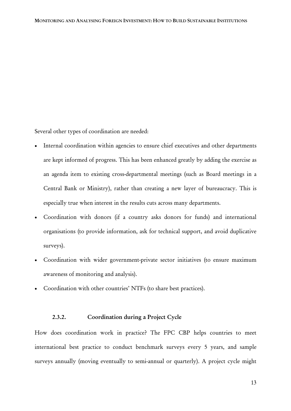Several other types of coordination are needed:

- Internal coordination within agencies to ensure chief executives and other departments are kept informed of progress. This has been enhanced greatly by adding the exercise as an agenda item to existing cross-departmental meetings (such as Board meetings in a Central Bank or Ministry), rather than creating a new layer of bureaucracy. This is especially true when interest in the results cuts across many departments.
- Coordination with donors (if a country asks donors for funds) and international organisations (to provide information, ask for technical support, and avoid duplicative surveys).
- Coordination with wider government-private sector initiatives (to ensure maximum awareness of monitoring and analysis).
- Coordination with other countries' NTFs (to share best practices).

#### 2.3.2. Coordination during a Project Cycle

How does coordination work in practice? The FPC CBP helps countries to meet international best practice to conduct benchmark surveys every 5 years, and sample surveys annually (moving eventually to semi-annual or quarterly). A project cycle might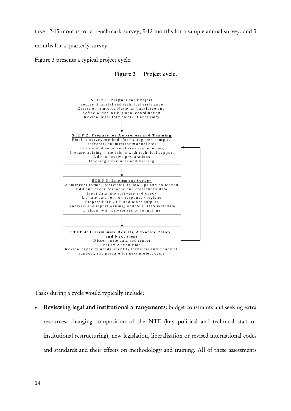take 12-15 months for a benchmark survey, 9-12 months for a sample annual survey, and 3

months for a quarterly survey.

Figure 3 presents a typical project cycle.





Tasks during a cycle would typically include:

• Reviewing legal and institutional arrangements: budget constraints and seeking extra resources, changing composition of the NTF (key political and technical staff or institutional restructuring), new legislation, liberalisation or revised international codes and standards and their effects on methodology and training. All of these assessments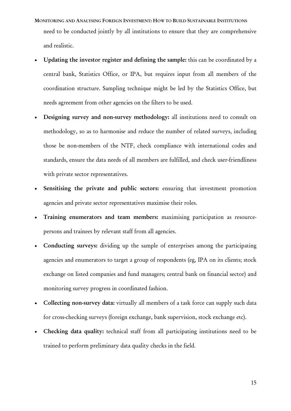- MONITORING AND ANALYSING FOREIGN INVESTMENT: HOW TO BUILD SUSTAINABLE INSTITUTIONS need to be conducted jointly by all institutions to ensure that they are comprehensive and realistic.
- Updating the investor register and defining the sample: this can be coordinated by a central bank, Statistics Office, or IPA, but requires input from all members of the coordination structure. Sampling technique might be led by the Statistics Office, but needs agreement from other agencies on the filters to be used.
- Designing survey and non-survey methodology: all institutions need to consult on methodology, so as to harmonise and reduce the number of related surveys, including those be non-members of the NTF, check compliance with international codes and standards, ensure the data needs of all members are fulfilled, and check user-friendliness with private sector representatives.
- Sensitising the private and public sectors: ensuring that investment promotion agencies and private sector representatives maximise their roles.
- Training enumerators and team members: maximising participation as resourcepersons and trainees by relevant staff from all agencies.
- Conducting surveys: dividing up the sample of enterprises among the participating agencies and enumerators to target a group of respondents (eg, IPA on its clients; stock exchange on listed companies and fund managers; central bank on financial sector) and monitoring survey progress in coordinated fashion.
- Collecting non-survey data: virtually all members of a task force can supply such data for cross-checking surveys (foreign exchange, bank supervision, stock exchange etc).
- Checking data quality: technical staff from all participating institutions need to be trained to perform preliminary data quality checks in the field.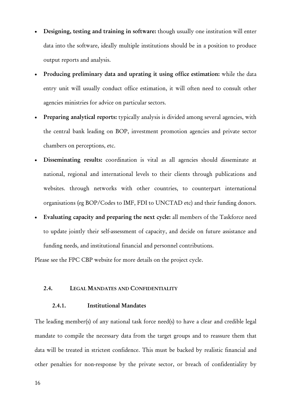- Designing, testing and training in software: though usually one institution will enter data into the software, ideally multiple institutions should be in a position to produce output reports and analysis.
- Producing preliminary data and uprating it using office estimation: while the data entry unit will usually conduct office estimation, it will often need to consult other agencies ministries for advice on particular sectors.
- Preparing analytical reports: typically analysis is divided among several agencies, with the central bank leading on BOP, investment promotion agencies and private sector chambers on perceptions, etc.
- Disseminating results: coordination is vital as all agencies should disseminate at national, regional and international levels to their clients through publications and websites. through networks with other countries, to counterpart international organisations (eg BOP/Codes to IMF, FDI to UNCTAD etc) and their funding donors.
- Evaluating capacity and preparing the next cycle: all members of the Taskforce need to update jointly their self-assessment of capacity, and decide on future assistance and funding needs, and institutional financial and personnel contributions.

Please see the FPC CBP website for more details on the project cycle.

#### 2.4. LEGAL MANDATES AND CONFIDENTIALITY

#### 2.4.1. Institutional Mandates

The leading member(s) of any national task force need(s) to have a clear and credible legal mandate to compile the necessary data from the target groups and to reassure them that data will be treated in strictest confidence. This must be backed by realistic financial and other penalties for non-response by the private sector, or breach of confidentiality by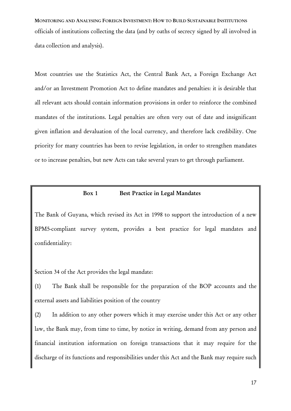MONITORING AND ANALYSING FOREIGN INVESTMENT: HOW TO BUILD SUSTAINABLE INSTITUTIONS officials of institutions collecting the data (and by oaths of secrecy signed by all involved in data collection and analysis).

Most countries use the Statistics Act, the Central Bank Act, a Foreign Exchange Act and/or an Investment Promotion Act to define mandates and penalties: it is desirable that all relevant acts should contain information provisions in order to reinforce the combined mandates of the institutions. Legal penalties are often very out of date and insignificant given inflation and devaluation of the local currency, and therefore lack credibility. One priority for many countries has been to revise legislation, in order to strengthen mandates or to increase penalties, but new Acts can take several years to get through parliament.

#### Box 1 Best Practice in Legal Mandates

The Bank of Guyana, which revised its Act in 1998 to support the introduction of a new BPM5-compliant survey system, provides a best practice for legal mandates and confidentiality:

Section 34 of the Act provides the legal mandate:

(1) The Bank shall be responsible for the preparation of the BOP accounts and the external assets and liabilities position of the country

(2) In addition to any other powers which it may exercise under this Act or any other law, the Bank may, from time to time, by notice in writing, demand from any person and financial institution information on foreign transactions that it may require for the discharge of its functions and responsibilities under this Act and the Bank may require such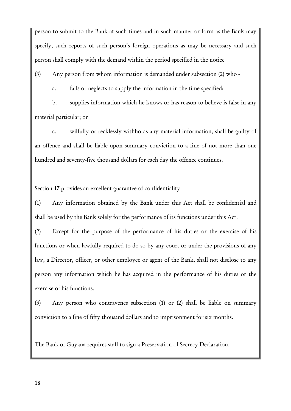person to submit to the Bank at such times and in such manner or form as the Bank may specify, such reports of such person's foreign operations as may be necessary and such person shall comply with the demand within the period specified in the notice

(3) Any person from whom information is demanded under subsection (2) who -

a. fails or neglects to supply the information in the time specified;

b. supplies information which he knows or has reason to believe is false in any material particular; or

c. wilfully or recklessly withholds any material information, shall be guilty of an offence and shall be liable upon summary conviction to a fine of not more than one hundred and seventy-five thousand dollars for each day the offence continues.

Section 17 provides an excellent guarantee of confidentiality

(1) Any information obtained by the Bank under this Act shall be confidential and shall be used by the Bank solely for the performance of its functions under this Act.

(2) Except for the purpose of the performance of his duties or the exercise of his functions or when lawfully required to do so by any court or under the provisions of any law, a Director, officer, or other employee or agent of the Bank, shall not disclose to any person any information which he has acquired in the performance of his duties or the exercise of his functions.

(3) Any person who contravenes subsection (1) or (2) shall be liable on summary conviction to a fine of fifty thousand dollars and to imprisonment for six months.

The Bank of Guyana requires staff to sign a Preservation of Secrecy Declaration.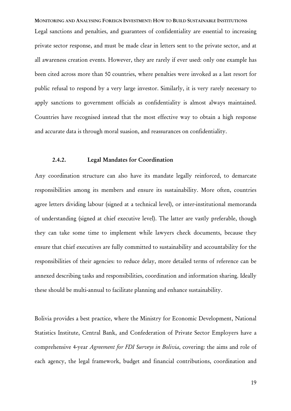MONITORING AND ANALYSING FOREIGN INVESTMENT: HOW TO BUILD SUSTAINABLE INSTITUTIONS Legal sanctions and penalties, and guarantees of confidentiality are essential to increasing private sector response, and must be made clear in letters sent to the private sector, and at all awareness creation events. However, they are rarely if ever used: only one example has been cited across more than 50 countries, where penalties were invoked as a last resort for public refusal to respond by a very large investor. Similarly, it is very rarely necessary to apply sanctions to government officials as confidentiality is almost always maintained. Countries have recognised instead that the most effective way to obtain a high response and accurate data is through moral suasion, and reassurances on confidentiality.

#### 2.4.2. Legal Mandates for Coordination

Any coordination structure can also have its mandate legally reinforced, to demarcate responsibilities among its members and ensure its sustainability. More often, countries agree letters dividing labour (signed at a technical level), or inter-institutional memoranda of understanding (signed at chief executive level). The latter are vastly preferable, though they can take some time to implement while lawyers check documents, because they ensure that chief executives are fully committed to sustainability and accountability for the responsibilities of their agencies: to reduce delay, more detailed terms of reference can be annexed describing tasks and responsibilities, coordination and information sharing. Ideally these should be multi-annual to facilitate planning and enhance sustainability.

Bolivia provides a best practice, where the Ministry for Economic Development, National Statistics Institute, Central Bank, and Confederation of Private Sector Employers have a comprehensive 4-year *Agreement for FDI Surveys in Bolivia*, covering: the aims and role of each agency, the legal framework, budget and financial contributions, coordination and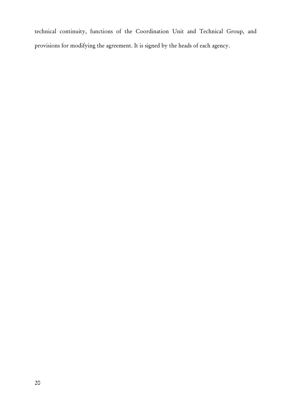technical continuity, functions of the Coordination Unit and Technical Group, and provisions for modifying the agreement. It is signed by the heads of each agency.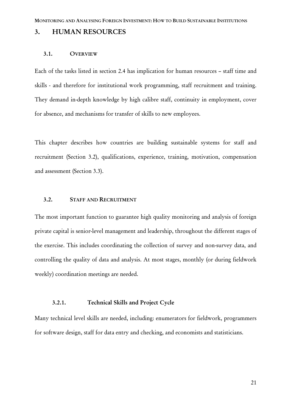#### 3. HUMAN RESOURCES

#### 3.1. OVERVIEW

Each of the tasks listed in section 2.4 has implication for human resources – staff time and skills - and therefore for institutional work programming, staff recruitment and training. They demand in-depth knowledge by high calibre staff, continuity in employment, cover for absence, and mechanisms for transfer of skills to new employees.

This chapter describes how countries are building sustainable systems for staff and recruitment (Section 3.2), qualifications, experience, training, motivation, compensation and assessment (Section 3.3).

#### 3.2. STAFF AND RECRUITMENT

The most important function to guarantee high quality monitoring and analysis of foreign private capital is senior-level management and leadership, throughout the different stages of the exercise. This includes coordinating the collection of survey and non-survey data, and controlling the quality of data and analysis. At most stages, monthly (or during fieldwork weekly) coordination meetings are needed.

#### 3.2.1. Technical Skills and Project Cycle

Many technical level skills are needed, including: enumerators for fieldwork, programmers for software design, staff for data entry and checking, and economists and statisticians.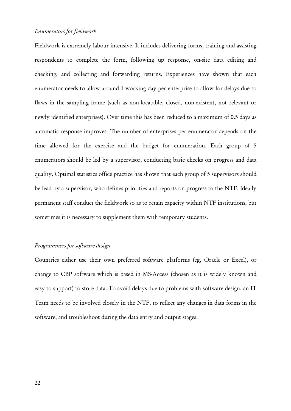#### *Enumerators for fieldwork*

Fieldwork is extremely labour intensive. It includes delivering forms, training and assisting respondents to complete the form, following up response, on-site data editing and checking, and collecting and forwarding returns. Experiences have shown that each enumerator needs to allow around 1 working day per enterprise to allow for delays due to flaws in the sampling frame (such as non-locatable, closed, non-existent, not relevant or newly identified enterprises). Over time this has been reduced to a maximum of 0.5 days as automatic response improves. The number of enterprises per enumerator depends on the time allowed for the exercise and the budget for enumeration. Each group of 5 enumerators should be led by a supervisor, conducting basic checks on progress and data quality. Optimal statistics office practice has shown that each group of 5 supervisors should be lead by a supervisor, who defines priorities and reports on progress to the NTF. Ideally permanent staff conduct the fieldwork so as to retain capacity within NTF institutions, but sometimes it is necessary to supplement them with temporary students.

#### *Programmers for software design*

Countries either use their own preferred software platforms (eg, Oracle or Excel), or change to CBP software which is based in MS-Access (chosen as it is widely known and easy to support) to store data. To avoid delays due to problems with software design, an IT Team needs to be involved closely in the NTF, to reflect any changes in data forms in the software, and troubleshoot during the data entry and output stages.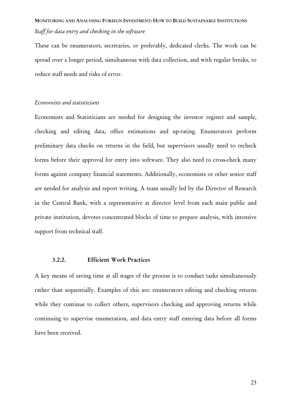### MONITORING AND ANALYSING FOREIGN INVESTMENT: HOW TO BUILD SUSTAINABLE INSTITUTIONS *Staff for data entry and checking in the software*

These can be enumerators, secretaries, or preferably, dedicated clerks. The work can be spread over a longer period, simultaneous with data collection, and with regular breaks, to reduce staff needs and risks of error.

#### *Economists and statisticians*

Economists and Statisticians are needed for designing the investor register and sample, checking and editing data, office estimations and up-rating. Enumerators perform preliminary data checks on returns in the field, but supervisors usually need to recheck forms before their approval for entry into software. They also need to cross-check many forms against company financial statements. Additionally, economists or other senior staff are needed for analysis and report writing. A team usually led by the Director of Research in the Central Bank, with a representative at director level from each main public and private institution, devotes concentrated blocks of time to prepare analysis, with intensive support from technical staff.

#### 3.2.2. Efficient Work Practices

A key means of saving time at all stages of the process is to conduct tasks simultaneously rather than sequentially. Examples of this are: enumerators editing and checking returns while they continue to collect others, supervisors checking and approving returns while continuing to supervise enumeration, and data entry staff entering data before all forms have been received.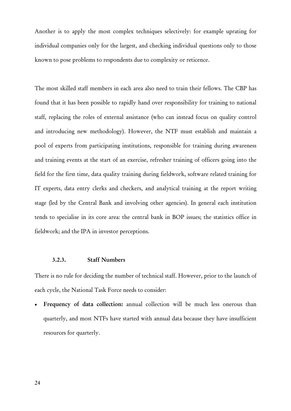Another is to apply the most complex techniques selectively: for example uprating for individual companies only for the largest, and checking individual questions only to those known to pose problems to respondents due to complexity or reticence.

The most skilled staff members in each area also need to train their fellows. The CBP has found that it has been possible to rapidly hand over responsibility for training to national staff, replacing the roles of external assistance (who can instead focus on quality control and introducing new methodology). However, the NTF must establish and maintain a pool of experts from participating institutions, responsible for training during awareness and training events at the start of an exercise, refresher training of officers going into the field for the first time, data quality training during fieldwork, software related training for IT experts, data entry clerks and checkers, and analytical training at the report writing stage (led by the Central Bank and involving other agencies). In general each institution tends to specialise in its core area: the central bank in BOP issues; the statistics office in fieldwork; and the IPA in investor perceptions.

#### 3.2.3. Staff Numbers

There is no rule for deciding the number of technical staff. However, prior to the launch of each cycle, the National Task Force needs to consider:

Frequency of data collection: annual collection will be much less onerous than quarterly, and most NTFs have started with annual data because they have insufficient resources for quarterly.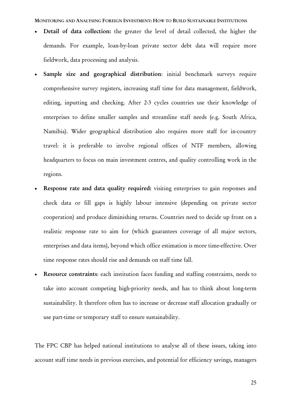MONITORING AND ANALYSING FOREIGN INVESTMENT: HOW TO BUILD SUSTAINABLE INSTITUTIONS

- Detail of data collection: the greater the level of detail collected, the higher the demands. For example, loan-by-loan private sector debt data will require more fieldwork, data processing and analysis.
- Sample size and geographical distribution: initial benchmark surveys require comprehensive survey registers, increasing staff time for data management, fieldwork, editing, inputting and checking. After 2-3 cycles countries use their knowledge of enterprises to define smaller samples and streamline staff needs (e.g. South Africa, Namibia). Wider geographical distribution also requires more staff for in-country travel: it is preferable to involve regional offices of NTF members, allowing headquarters to focus on main investment centres, and quality controlling work in the regions.
- Response rate and data quality required: visiting enterprises to gain responses and check data or fill gaps is highly labour intensive (depending on private sector cooperation) and produce diminishing returns. Countries need to decide up front on a realistic response rate to aim for (which guarantees coverage of all major sectors, enterprises and data items), beyond which office estimation is more time-effective. Over time response rates should rise and demands on staff time fall.
- Resource constraints: each institution faces funding and staffing constraints, needs to take into account competing high-priority needs, and has to think about long-term sustainability. It therefore often has to increase or decrease staff allocation gradually or use part-time or temporary staff to ensure sustainability.

The FPC CBP has helped national institutions to analyse all of these issues, taking into account staff time needs in previous exercises, and potential for efficiency savings, managers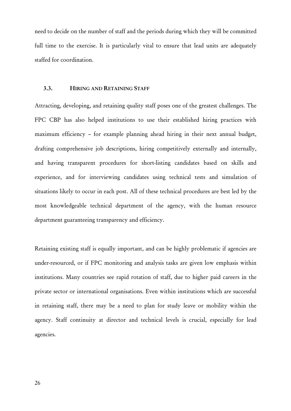need to decide on the number of staff and the periods during which they will be committed full time to the exercise. It is particularly vital to ensure that lead units are adequately staffed for coordination.

#### 3.3. HIRING AND RETAINING STAFF

Attracting, developing, and retaining quality staff poses one of the greatest challenges. The FPC CBP has also helped institutions to use their established hiring practices with maximum efficiency – for example planning ahead hiring in their next annual budget, drafting comprehensive job descriptions, hiring competitively externally and internally, and having transparent procedures for short-listing candidates based on skills and experience, and for interviewing candidates using technical tests and simulation of situations likely to occur in each post. All of these technical procedures are best led by the most knowledgeable technical department of the agency, with the human resource department guaranteeing transparency and efficiency.

Retaining existing staff is equally important, and can be highly problematic if agencies are under-resourced, or if FPC monitoring and analysis tasks are given low emphasis within institutions. Many countries see rapid rotation of staff, due to higher paid careers in the private sector or international organisations. Even within institutions which are successful in retaining staff, there may be a need to plan for study leave or mobility within the agency. Staff continuity at director and technical levels is crucial, especially for lead agencies.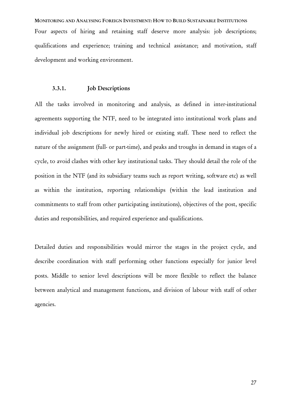MONITORING AND ANALYSING FOREIGN INVESTMENT: HOW TO BUILD SUSTAINABLE INSTITUTIONS Four aspects of hiring and retaining staff deserve more analysis: job descriptions; qualifications and experience; training and technical assistance; and motivation, staff development and working environment.

#### 3.3.1. Job Descriptions

All the tasks involved in monitoring and analysis, as defined in inter-institutional agreements supporting the NTF, need to be integrated into institutional work plans and individual job descriptions for newly hired or existing staff. These need to reflect the nature of the assignment (full- or part-time), and peaks and troughs in demand in stages of a cycle, to avoid clashes with other key institutional tasks. They should detail the role of the position in the NTF (and its subsidiary teams such as report writing, software etc) as well as within the institution, reporting relationships (within the lead institution and commitments to staff from other participating institutions), objectives of the post, specific duties and responsibilities, and required experience and qualifications.

Detailed duties and responsibilities would mirror the stages in the project cycle, and describe coordination with staff performing other functions especially for junior level posts. Middle to senior level descriptions will be more flexible to reflect the balance between analytical and management functions, and division of labour with staff of other agencies.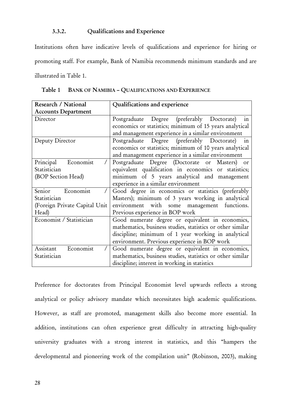#### 3.3.2. Qualifications and Experience

Institutions often have indicative levels of qualifications and experience for hiring or promoting staff. For example, Bank of Namibia recommends minimum standards and are illustrated in Table 1.

| Research / National           | Qualifications and experience                              |
|-------------------------------|------------------------------------------------------------|
| <b>Accounts Department</b>    |                                                            |
| Director                      | Postgraduate Degree (preferably Doctorate)<br>in           |
|                               | economics or statistics; minimum of 15 years analytical    |
|                               | and management experience in a similar environment         |
| Deputy Director               | Postgraduate Degree (preferably Doctorate)<br>in           |
|                               | economics or statistics; minimum of 10 years analytical    |
|                               | and management experience in a similar environment         |
| Principal<br>Economist        | Postgraduate Degree (Doctorate or Masters)<br>or           |
| Statistician                  | equivalent qualification in economics or statistics;       |
| (BOP Section Head)            | minimum of 5 years analytical and management               |
|                               | experience in a similar environment                        |
| Senior<br>Economist           | Good degree in economics or statistics (preferably         |
| Statistician                  | Masters); minimum of 3 years working in analytical         |
| (Foreign Private Capital Unit | environment with some management functions.                |
| Head)                         | Previous experience in BOP work                            |
| Economist / Statistician      | Good numerate degree or equivalent in economics,           |
|                               | mathematics, business studies, statistics or other similar |
|                               | discipline; minimum of 1 year working in analytical        |
|                               | environment. Previous experience in BOP work               |
| Assistant<br>Economist        | Good numerate degree or equivalent in economics,           |
| Statistician                  | mathematics, business studies, statistics or other similar |
|                               | discipline; interest in working in statistics              |

Table 1 BANK OF NAMIBIA - QUALIFICATIONS AND EXPERIENCE

Preference for doctorates from Principal Economist level upwards reflects a strong analytical or policy advisory mandate which necessitates high academic qualifications. However, as staff are promoted, management skills also become more essential. In addition, institutions can often experience great difficulty in attracting high-quality university graduates with a strong interest in statistics, and this "hampers the developmental and pioneering work of the compilation unit" (Robinson, 2003), making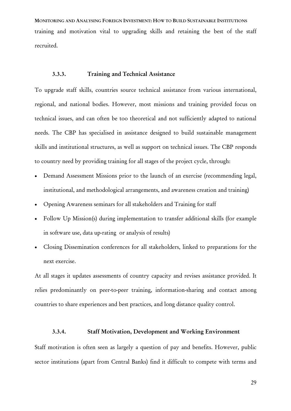MONITORING AND ANALYSING FOREIGN INVESTMENT: HOW TO BUILD SUSTAINABLE INSTITUTIONS training and motivation vital to upgrading skills and retaining the best of the staff recruited.

#### 3.3.3. Training and Technical Assistance

To upgrade staff skills, countries source technical assistance from various international, regional, and national bodies. However, most missions and training provided focus on technical issues, and can often be too theoretical and not sufficiently adapted to national needs. The CBP has specialised in assistance designed to build sustainable management skills and institutional structures, as well as support on technical issues. The CBP responds to country need by providing training for all stages of the project cycle, through:

- Demand Assessment Missions prior to the launch of an exercise (recommending legal, institutional, and methodological arrangements, and awareness creation and training)
- Opening Awareness seminars for all stakeholders and Training for staff
- Follow Up Mission(s) during implementation to transfer additional skills (for example in software use, data up-rating or analysis of results)
- Closing Dissemination conferences for all stakeholders, linked to preparations for the next exercise.

At all stages it updates assessments of country capacity and revises assistance provided. It relies predominantly on peer-to-peer training, information-sharing and contact among countries to share experiences and best practices, and long distance quality control.

#### 3.3.4. Staff Motivation, Development and Working Environment

Staff motivation is often seen as largely a question of pay and benefits. However, public sector institutions (apart from Central Banks) find it difficult to compete with terms and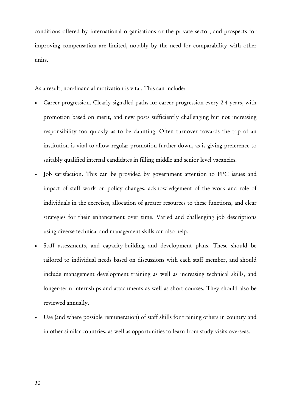conditions offered by international organisations or the private sector, and prospects for improving compensation are limited, notably by the need for comparability with other units.

As a result, non-financial motivation is vital. This can include:

- Career progression. Clearly signalled paths for career progression every 2-4 years, with promotion based on merit, and new posts sufficiently challenging but not increasing responsibility too quickly as to be daunting. Often turnover towards the top of an institution is vital to allow regular promotion further down, as is giving preference to suitably qualified internal candidates in filling middle and senior level vacancies.
- Job satisfaction. This can be provided by government attention to FPC issues and impact of staff work on policy changes, acknowledgement of the work and role of individuals in the exercises, allocation of greater resources to these functions, and clear strategies for their enhancement over time. Varied and challenging job descriptions using diverse technical and management skills can also help.
- Staff assessments, and capacity-building and development plans. These should be tailored to individual needs based on discussions with each staff member, and should include management development training as well as increasing technical skills, and longer-term internships and attachments as well as short courses. They should also be reviewed annually.
- Use (and where possible remuneration) of staff skills for training others in country and in other similar countries, as well as opportunities to learn from study visits overseas.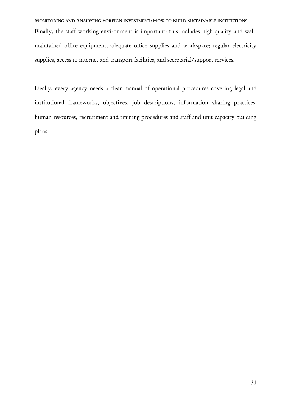MONITORING AND ANALYSING FOREIGN INVESTMENT: HOW TO BUILD SUSTAINABLE INSTITUTIONS Finally, the staff working environment is important: this includes high-quality and wellmaintained office equipment, adequate office supplies and workspace; regular electricity supplies, access to internet and transport facilities, and secretarial/support services.

Ideally, every agency needs a clear manual of operational procedures covering legal and institutional frameworks, objectives, job descriptions, information sharing practices, human resources, recruitment and training procedures and staff and unit capacity building plans.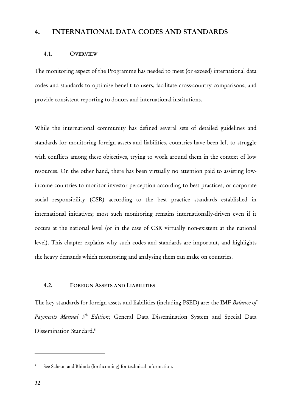# 4. INTERNATIONAL DATA CODES AND STANDARDS

#### 4.1. OVERVIEW

The monitoring aspect of the Programme has needed to meet (or exceed) international data codes and standards to optimise benefit to users, facilitate cross-country comparisons, and provide consistent reporting to donors and international institutions.

While the international community has defined several sets of detailed guidelines and standards for monitoring foreign assets and liabilities, countries have been left to struggle with conflicts among these objectives, trying to work around them in the context of low resources. On the other hand, there has been virtually no attention paid to assisting lowincome countries to monitor investor perception according to best practices, or corporate social responsibility (CSR) according to the best practice standards established in international initiatives; most such monitoring remains internationally-driven even if it occurs at the national level (or in the case of CSR virtually non-existent at the national level). This chapter explains why such codes and standards are important, and highlights the heavy demands which monitoring and analysing them can make on countries.

# 4.2. FOREIGN ASSETS AND LIABILITIES

The key standards for foreign assets and liabilities (including PSED) are: the IMF *Balance of Payments Manual 5th Edition;* General Data Dissemination System and Special Data Dissemination Standard.<sup>5</sup>

<sup>5</sup> See Scheun and Bhinda (forthcoming) for technical information.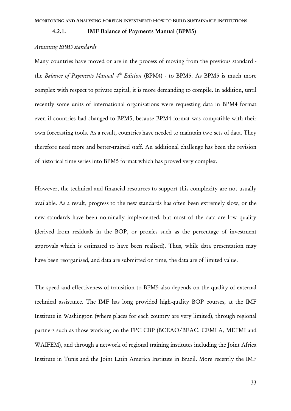4.2.1. IMF Balance of Payments Manual (BPM5)

#### *Attaining BPM5 standards*

Many countries have moved or are in the process of moving from the previous standard the *Balance of Payments Manual 4<sup>th</sup> Edition* (BPM4) - to BPM5. As BPM5 is much more complex with respect to private capital, it is more demanding to compile. In addition, until recently some units of international organisations were requesting data in BPM4 format even if countries had changed to BPM5, because BPM4 format was compatible with their own forecasting tools. As a result, countries have needed to maintain two sets of data. They therefore need more and better-trained staff. An additional challenge has been the revision of historical time series into BPM5 format which has proved very complex.

However, the technical and financial resources to support this complexity are not usually available. As a result, progress to the new standards has often been extremely slow, or the new standards have been nominally implemented, but most of the data are low quality (derived from residuals in the BOP, or proxies such as the percentage of investment approvals which is estimated to have been realised). Thus, while data presentation may have been reorganised, and data are submitted on time, the data are of limited value.

The speed and effectiveness of transition to BPM5 also depends on the quality of external technical assistance. The IMF has long provided high-quality BOP courses, at the IMF Institute in Washington (where places for each country are very limited), through regional partners such as those working on the FPC CBP (BCEAO/BEAC, CEMLA, MEFMI and WAIFEM), and through a network of regional training institutes including the Joint Africa Institute in Tunis and the Joint Latin America Institute in Brazil. More recently the IMF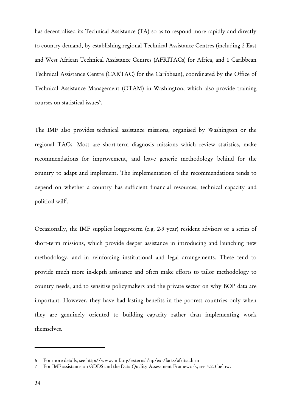has decentralised its Technical Assistance (TA) so as to respond more rapidly and directly to country demand, by establishing regional Technical Assistance Centres (including 2 East and West African Technical Assistance Centres (AFRITACs) for Africa, and 1 Caribbean Technical Assistance Centre (CARTAC) for the Caribbean), coordinated by the Office of Technical Assistance Management (OTAM) in Washington, which also provide training courses on statistical issues<sup>6</sup>.

The IMF also provides technical assistance missions, organised by Washington or the regional TACs. Most are short-term diagnosis missions which review statistics, make recommendations for improvement, and leave generic methodology behind for the country to adapt and implement. The implementation of the recommendations tends to depend on whether a country has sufficient financial resources, technical capacity and political will<sup>7</sup>.

Occasionally, the IMF supplies longer-term (e.g. 2-3 year) resident advisors or a series of short-term missions, which provide deeper assistance in introducing and launching new methodology, and in reinforcing institutional and legal arrangements. These tend to provide much more in-depth assistance and often make efforts to tailor methodology to country needs, and to sensitise policymakers and the private sector on why BOP data are important. However, they have had lasting benefits in the poorest countries only when they are genuinely oriented to building capacity rather than implementing work themselves.

<sup>6</sup> For more details, see http://www.imf.org/external/np/exr/facts/afritac.htm

<sup>7</sup> For IMF assistance on GDDS and the Data Quality Assessment Framework, see 4.2.3 below.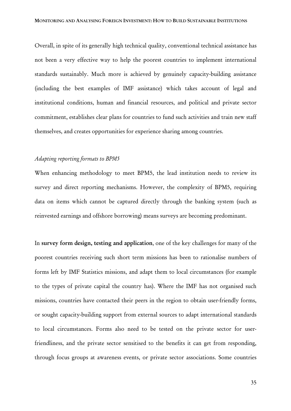Overall, in spite of its generally high technical quality, conventional technical assistance has not been a very effective way to help the poorest countries to implement international standards sustainably. Much more is achieved by genuinely capacity-building assistance (including the best examples of IMF assistance) which takes account of legal and institutional conditions, human and financial resources, and political and private sector commitment, establishes clear plans for countries to fund such activities and train new staff themselves, and creates opportunities for experience sharing among countries.

#### *Adapting reporting formats to BPM5*

When enhancing methodology to meet BPM5, the lead institution needs to review its survey and direct reporting mechanisms. However, the complexity of BPM5, requiring data on items which cannot be captured directly through the banking system (such as reinvested earnings and offshore borrowing) means surveys are becoming predominant.

In survey form design, testing and application, one of the key challenges for many of the poorest countries receiving such short term missions has been to rationalise numbers of forms left by IMF Statistics missions, and adapt them to local circumstances (for example to the types of private capital the country has). Where the IMF has not organised such missions, countries have contacted their peers in the region to obtain user-friendly forms, or sought capacity-building support from external sources to adapt international standards to local circumstances. Forms also need to be tested on the private sector for userfriendliness, and the private sector sensitised to the benefits it can get from responding, through focus groups at awareness events, or private sector associations. Some countries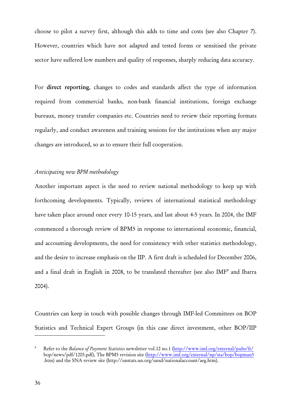choose to pilot a survey first, although this adds to time and costs (see also Chapter 7). However, countries which have not adapted and tested forms or sensitised the private sector have suffered low numbers and quality of responses, sharply reducing data accuracy.

For direct reporting, changes to codes and standards affect the type of information required from commercial banks, non-bank financial institutions, foreign exchange bureaux, money transfer companies etc. Countries need to review their reporting formats regularly, and conduct awareness and training sessions for the institutions when any major changes are introduced, so as to ensure their full cooperation.

# *Anticipating new BPM methodology*

Another important aspect is the need to review national methodology to keep up with forthcoming developments. Typically, reviews of international statistical methodology have taken place around once every 10-15 years, and last about 4-5 years. In 2004, the IMF commenced a thorough review of BPM5 in response to international economic, financial, and accounting developments, the need for consistency with other statistics methodology, and the desire to increase emphasis on the IIP. A first draft is scheduled for December 2006, and a final draft in English in 2008, to be translated thereafter (see also IMF<sup>8</sup> and Ibarra 2004).

Countries can keep in touch with possible changes through IMF-led Committees on BOP Statistics and Technical Expert Groups (in this case direct investment, other BOP/IIP

<sup>8</sup> Refer to the *Balance of Payment Statistics* newsletter vol.12 no.1 (http://www.imf.org/external/pubs/ft/ bop/news/pdf/1205.pdf), The BPM5 revision site (http://www.imf.org/external/np/sta/bop/bopman5 .htm) and the SNA review site (http://unstats.un.org/unsd/nationalaccount/aeg.htm).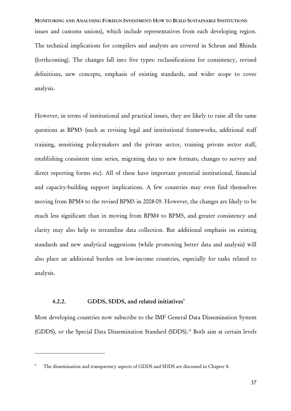MONITORING AND ANALYSING FOREIGN INVESTMENT: HOW TO BUILD SUSTAINABLE INSTITUTIONS issues and customs unions), which include representatives from each developing region. The technical implications for compilers and analysts are covered in Scheun and Bhinda (forthcoming). The changes fall into five types: reclassifications for consistency, revised definitions, new concepts, emphasis of existing standards, and wider scope to cover analysis.

However, in terms of institutional and practical issues, they are likely to raise all the same questions as BPM5 (such as revising legal and institutional frameworks, additional staff training, sensitising policymakers and the private sector, training private sector staff, establishing consistent time series, migrating data to new formats, changes to survey and direct reporting forms etc). All of these have important potential institutional, financial and capacity-building support implications. A few countries may even find themselves moving from BPM4 to the revised BPM5 in 2008-09. However, the changes are likely to be much less significant than in moving from BPM4 to BPM5, and greater consistency and clarity may also help to streamline data collection. But additional emphasis on existing standards and new analytical suggestions (while promoting better data and analysis) will also place an additional burden on low-income countries, especially for tasks related to analysis.

## 4.2.2. GDDS, SDDS, and related initiatives $\degree$

 $\overline{a}$ 

Most developing countries now subscribe to the IMF General Data Dissemination System (GDDS), or the Special Data Dissemination Standard (SDDS).<sup>10</sup> Both aim at certain levels

<sup>9</sup> The dissemination and transparency aspects of GDDS and SDDS are discussed in Chapter 8.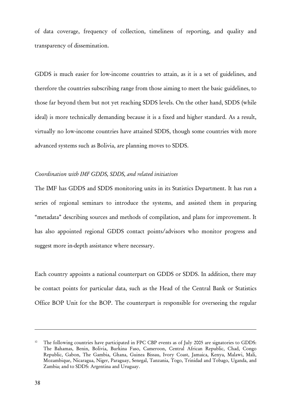of data coverage, frequency of collection, timeliness of reporting, and quality and transparency of dissemination.

GDDS is much easier for low-income countries to attain, as it is a set of guidelines, and therefore the countries subscribing range from those aiming to meet the basic guidelines, to those far beyond them but not yet reaching SDDS levels. On the other hand, SDDS (while ideal) is more technically demanding because it is a fixed and higher standard. As a result, virtually no low-income countries have attained SDDS, though some countries with more advanced systems such as Bolivia, are planning moves to SDDS.

#### *Coordination with IMF GDDS, SDDS, and related initiatives*

The IMF has GDDS and SDDS monitoring units in its Statistics Department. It has run a series of regional seminars to introduce the systems, and assisted them in preparing "metadata" describing sources and methods of compilation, and plans for improvement. It has also appointed regional GDDS contact points/advisors who monitor progress and suggest more in-depth assistance where necessary.

Each country appoints a national counterpart on GDDS or SDDS. In addition, there may be contact points for particular data, such as the Head of the Central Bank or Statistics Office BOP Unit for the BOP. The counterpart is responsible for overseeing the regular

The following countries have participated in FPC CBP events as of July 2005 are signatories to GDDS: The Bahamas, Benin, Bolivia, Burkina Faso, Cameroon, Central African Republic, Chad, Congo Republic, Gabon, The Gambia, Ghana, Guinea Bissau, Ivory Coast, Jamaica, Kenya, Malawi, Mali, Mozambique, Nicaragua, Niger, Paraguay, Senegal, Tanzania, Togo, Trinidad and Tobago, Uganda, and Zambia; and to SDDS: Argentina and Uruguay.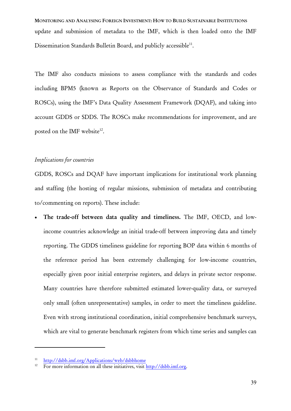MONITORING AND ANALYSING FOREIGN INVESTMENT: HOW TO BUILD SUSTAINABLE INSTITUTIONS update and submission of metadata to the IMF, which is then loaded onto the IMF Dissemination Standards Bulletin Board, and publicly accessible<sup>11</sup>.

The IMF also conducts missions to assess compliance with the standards and codes including BPM5 (known as Reports on the Observance of Standards and Codes or ROSCs), using the IMF's Data Quality Assessment Framework (DQAF), and taking into account GDDS or SDDS. The ROSCs make recommendations for improvement, and are posted on the IMF website<sup>12</sup>.

# *Implications for countries*

GDDS, ROSCs and DQAF have important implications for institutional work planning and staffing (the hosting of regular missions, submission of metadata and contributing to/commenting on reports). These include:

The trade-off between data quality and timeliness. The IMF, OECD, and lowincome countries acknowledge an initial trade-off between improving data and timely reporting. The GDDS timeliness guideline for reporting BOP data within 6 months of the reference period has been extremely challenging for low-income countries, especially given poor initial enterprise registers, and delays in private sector response. Many countries have therefore submitted estimated lower-quality data, or surveyed only small (often unrepresentative) samples, in order to meet the timeliness guideline. Even with strong institutional coordination, initial comprehensive benchmark surveys, which are vital to generate benchmark registers from which time series and samples can

<sup>11</sup> http://dsbb.imf.org/Applications/web/dsbbhome

<sup>12</sup> For more information on all these initiatives, visit http://dsbb.imf.org.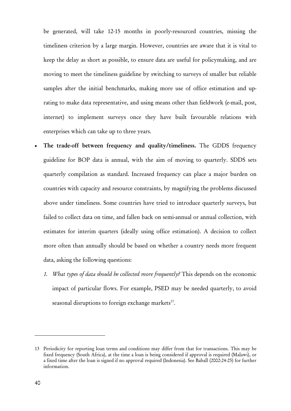be generated, will take 12-15 months in poorly-resourced countries, missing the timeliness criterion by a large margin. However, countries are aware that it is vital to keep the delay as short as possible, to ensure data are useful for policymaking, and are moving to meet the timeliness guideline by switching to surveys of smaller but reliable samples after the initial benchmarks, making more use of office estimation and uprating to make data representative, and using means other than fieldwork (e-mail, post, internet) to implement surveys once they have built favourable relations with enterprises which can take up to three years.

- The trade-off between frequency and quality/timeliness. The GDDS frequency guideline for BOP data is annual, with the aim of moving to quarterly. SDDS sets quarterly compilation as standard. Increased frequency can place a major burden on countries with capacity and resource constraints, by magnifying the problems discussed above under timeliness. Some countries have tried to introduce quarterly surveys, but failed to collect data on time, and fallen back on semi-annual or annual collection, with estimates for interim quarters (ideally using office estimation). A decision to collect more often than annually should be based on whether a country needs more frequent data, asking the following questions:
	- *1. What types of data should be collected more frequently?* This depends on the economic impact of particular flows. For example, PSED may be needed quarterly, to avoid seasonal disruptions to foreign exchange markets<sup>13</sup>.

<sup>13</sup> Periodicity for reporting loan terms and conditions may differ from that for transactions. This may be fixed frequency (South Africa), at the time a loan is being considered if approval is required (Malawi), or a fixed time after the loan is signed if no approval required (Indonesia). See Baball (2002:24-25) for further information.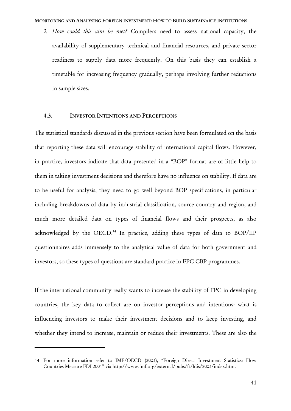#### MONITORING AND ANALYSING FOREIGN INVESTMENT: HOW TO BUILD SUSTAINABLE INSTITUTIONS

*2. How could this aim be met?* Compilers need to assess national capacity, the availability of supplementary technical and financial resources, and private sector readiness to supply data more frequently. On this basis they can establish a timetable for increasing frequency gradually, perhaps involving further reductions in sample sizes.

# 4.3. INVESTOR INTENTIONS AND PERCEPTIONS

The statistical standards discussed in the previous section have been formulated on the basis that reporting these data will encourage stability of international capital flows. However, in practice, investors indicate that data presented in a "BOP" format are of little help to them in taking investment decisions and therefore have no influence on stability. If data are to be useful for analysis, they need to go well beyond BOP specifications, in particular including breakdowns of data by industrial classification, source country and region, and much more detailed data on types of financial flows and their prospects, as also acknowledged by the OECD.<sup>14</sup> In practice, adding these types of data to BOP/IIP questionnaires adds immensely to the analytical value of data for both government and investors, so these types of questions are standard practice in FPC CBP programmes.

If the international community really wants to increase the stability of FPC in developing countries, the key data to collect are on investor perceptions and intentions: what is influencing investors to make their investment decisions and to keep investing, and whether they intend to increase, maintain or reduce their investments. These are also the

<sup>14</sup> For more information refer to IMF/OECD (2003), "Foreign Direct Investment Statistics: How Countries Measure FDI 2001" via http://www.imf.org/external/pubs/ft/fdis/2003/index.htm.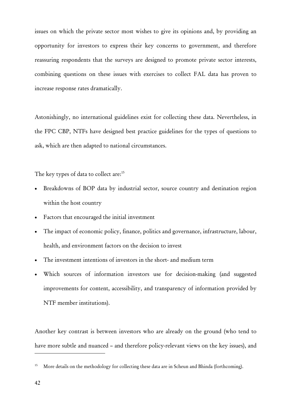issues on which the private sector most wishes to give its opinions and, by providing an opportunity for investors to express their key concerns to government, and therefore reassuring respondents that the surveys are designed to promote private sector interests, combining questions on these issues with exercises to collect FAL data has proven to increase response rates dramatically.

Astonishingly, no international guidelines exist for collecting these data. Nevertheless, in the FPC CBP, NTFs have designed best practice guidelines for the types of questions to ask, which are then adapted to national circumstances.

The key types of data to collect are:<sup>15</sup>

- Breakdowns of BOP data by industrial sector, source country and destination region within the host country
- Factors that encouraged the initial investment
- The impact of economic policy, finance, politics and governance, infrastructure, labour, health, and environment factors on the decision to invest
- The investment intentions of investors in the short- and medium term
- Which sources of information investors use for decision-making (and suggested improvements for content, accessibility, and transparency of information provided by NTF member institutions).

Another key contrast is between investors who are already on the ground (who tend to have more subtle and nuanced – and therefore policy-relevant views on the key issues), and

<sup>&</sup>lt;sup>15</sup> More details on the methodology for collecting these data are in Scheun and Bhinda (forthcoming).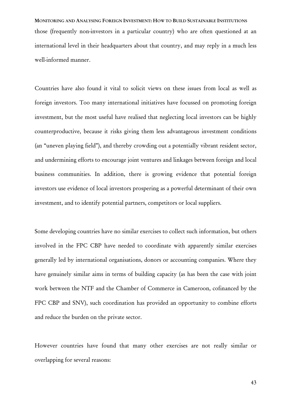MONITORING AND ANALYSING FOREIGN INVESTMENT: HOW TO BUILD SUSTAINABLE INSTITUTIONS those (frequently non-investors in a particular country) who are often questioned at an international level in their headquarters about that country, and may reply in a much less well-informed manner.

Countries have also found it vital to solicit views on these issues from local as well as foreign investors. Too many international initiatives have focussed on promoting foreign investment, but the most useful have realised that neglecting local investors can be highly counterproductive, because it risks giving them less advantageous investment conditions (an "uneven playing field"), and thereby crowding out a potentially vibrant resident sector, and undermining efforts to encourage joint ventures and linkages between foreign and local business communities. In addition, there is growing evidence that potential foreign investors use evidence of local investors prospering as a powerful determinant of their own investment, and to identify potential partners, competitors or local suppliers.

Some developing countries have no similar exercises to collect such information, but others involved in the FPC CBP have needed to coordinate with apparently similar exercises generally led by international organisations, donors or accounting companies. Where they have genuinely similar aims in terms of building capacity (as has been the case with joint work between the NTF and the Chamber of Commerce in Cameroon, cofinanced by the FPC CBP and SNV), such coordination has provided an opportunity to combine efforts and reduce the burden on the private sector.

However countries have found that many other exercises are not really similar or overlapping for several reasons: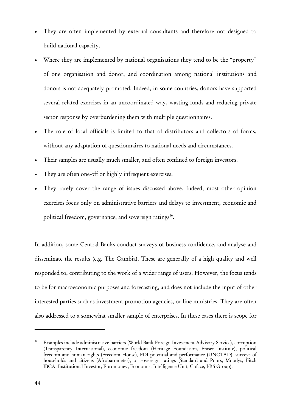- They are often implemented by external consultants and therefore not designed to build national capacity.
- Where they are implemented by national organisations they tend to be the "property" of one organisation and donor, and coordination among national institutions and donors is not adequately promoted. Indeed, in some countries, donors have supported several related exercises in an uncoordinated way, wasting funds and reducing private sector response by overburdening them with multiple questionnaires.
- The role of local officials is limited to that of distributors and collectors of forms, without any adaptation of questionnaires to national needs and circumstances.
- Their samples are usually much smaller, and often confined to foreign investors.
- They are often one-off or highly infrequent exercises.
- They rarely cover the range of issues discussed above. Indeed, most other opinion exercises focus only on administrative barriers and delays to investment, economic and political freedom, governance, and sovereign ratings<sup>16</sup>.

In addition, some Central Banks conduct surveys of business confidence, and analyse and disseminate the results (e.g. The Gambia). These are generally of a high quality and well responded to, contributing to the work of a wider range of users. However, the focus tends to be for macroeconomic purposes and forecasting, and does not include the input of other interested parties such as investment promotion agencies, or line ministries. They are often also addressed to a somewhat smaller sample of enterprises. In these cases there is scope for

<sup>&</sup>lt;sup>16</sup> Examples include administrative barriers (World Bank Foreign Investment Advisory Service), corruption (Transparency International), economic freedom (Heritage Foundation, Fraser Institute), political freedom and human rights (Freedom House), FDI potential and performance (UNCTAD), surveys of households and citizens (Afrobarometer), or sovereign ratings (Standard and Poors, Moodys, Fitch IBCA, Institutional Investor, Euromoney, Economist Intelligence Unit, Coface, PRS Group).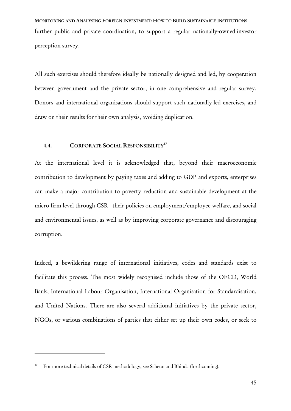MONITORING AND ANALYSING FOREIGN INVESTMENT: HOW TO BUILD SUSTAINABLE INSTITUTIONS further public and private coordination, to support a regular nationally-owned investor perception survey.

All such exercises should therefore ideally be nationally designed and led, by cooperation between government and the private sector, in one comprehensive and regular survey. Donors and international organisations should support such nationally-led exercises, and draw on their results for their own analysis, avoiding duplication.

# 4.4. CORPORATE SOCIAL RESPONSIBILITY<sup>17</sup>

At the international level it is acknowledged that, beyond their macroeconomic contribution to development by paying taxes and adding to GDP and exports, enterprises can make a major contribution to poverty reduction and sustainable development at the micro firm level through CSR - their policies on employment/employee welfare, and social and environmental issues, as well as by improving corporate governance and discouraging corruption.

Indeed, a bewildering range of international initiatives, codes and standards exist to facilitate this process. The most widely recognised include those of the OECD, World Bank, International Labour Organisation, International Organisation for Standardisation, and United Nations. There are also several additional initiatives by the private sector, NGOs, or various combinations of parties that either set up their own codes, or seek to

<sup>&</sup>lt;sup>17</sup> For more technical details of CSR methodology, see Scheun and Bhinda (forthcoming).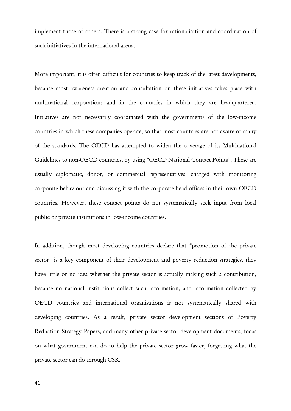implement those of others. There is a strong case for rationalisation and coordination of such initiatives in the international arena.

More important, it is often difficult for countries to keep track of the latest developments, because most awareness creation and consultation on these initiatives takes place with multinational corporations and in the countries in which they are headquartered. Initiatives are not necessarily coordinated with the governments of the low-income countries in which these companies operate, so that most countries are not aware of many of the standards. The OECD has attempted to widen the coverage of its Multinational Guidelines to non-OECD countries, by using "OECD National Contact Points". These are usually diplomatic, donor, or commercial representatives, charged with monitoring corporate behaviour and discussing it with the corporate head offices in their own OECD countries. However, these contact points do not systematically seek input from local public or private institutions in low-income countries.

In addition, though most developing countries declare that "promotion of the private sector" is a key component of their development and poverty reduction strategies, they have little or no idea whether the private sector is actually making such a contribution, because no national institutions collect such information, and information collected by OECD countries and international organisations is not systematically shared with developing countries. As a result, private sector development sections of Poverty Reduction Strategy Papers, and many other private sector development documents, focus on what government can do to help the private sector grow faster, forgetting what the private sector can do through CSR.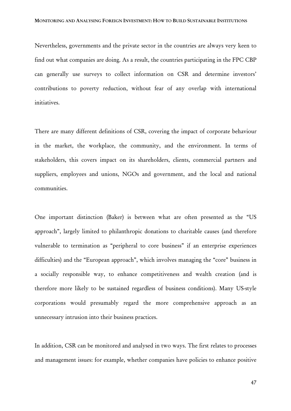Nevertheless, governments and the private sector in the countries are always very keen to find out what companies are doing. As a result, the countries participating in the FPC CBP can generally use surveys to collect information on CSR and determine investors' contributions to poverty reduction, without fear of any overlap with international initiatives.

There are many different definitions of CSR, covering the impact of corporate behaviour in the market, the workplace, the community, and the environment. In terms of stakeholders, this covers impact on its shareholders, clients, commercial partners and suppliers, employees and unions, NGOs and government, and the local and national communities.

One important distinction (Baker) is between what are often presented as the "US approach", largely limited to philanthropic donations to charitable causes (and therefore vulnerable to termination as "peripheral to core business" if an enterprise experiences difficulties) and the "European approach", which involves managing the "core" business in a socially responsible way, to enhance competitiveness and wealth creation (and is therefore more likely to be sustained regardless of business conditions). Many US-style corporations would presumably regard the more comprehensive approach as an unnecessary intrusion into their business practices.

In addition, CSR can be monitored and analysed in two ways. The first relates to processes and management issues: for example, whether companies have policies to enhance positive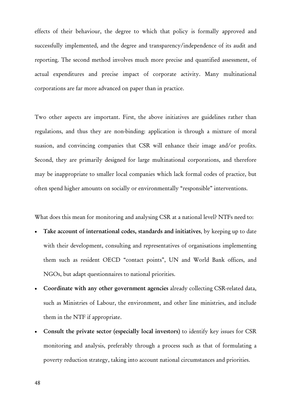effects of their behaviour, the degree to which that policy is formally approved and successfully implemented, and the degree and transparency/independence of its audit and reporting. The second method involves much more precise and quantified assessment, of actual expenditures and precise impact of corporate activity. Many multinational corporations are far more advanced on paper than in practice.

Two other aspects are important. First, the above initiatives are guidelines rather than regulations, and thus they are non-binding: application is through a mixture of moral suasion, and convincing companies that CSR will enhance their image and/or profits. Second, they are primarily designed for large multinational corporations, and therefore may be inappropriate to smaller local companies which lack formal codes of practice, but often spend higher amounts on socially or environmentally "responsible" interventions.

What does this mean for monitoring and analysing CSR at a national level? NTFs need to:

- Take account of international codes, standards and initiatives, by keeping up to date with their development, consulting and representatives of organisations implementing them such as resident OECD "contact points", UN and World Bank offices, and NGOs, but adapt questionnaires to national priorities.
- Coordinate with any other government agencies already collecting CSR-related data, such as Ministries of Labour, the environment, and other line ministries, and include them in the NTF if appropriate.
- Consult the private sector (especially local investors) to identify key issues for CSR monitoring and analysis, preferably through a process such as that of formulating a poverty reduction strategy, taking into account national circumstances and priorities.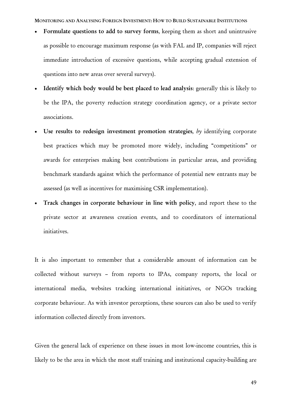MONITORING AND ANALYSING FOREIGN INVESTMENT: HOW TO BUILD SUSTAINABLE INSTITUTIONS

- Formulate questions to add to survey forms, keeping them as short and unintrusive as possible to encourage maximum response (as with FAL and IP, companies will reject immediate introduction of excessive questions, while accepting gradual extension of questions into new areas over several surveys).
- Identify which body would be best placed to lead analysis: generally this is likely to be the IPA, the poverty reduction strategy coordination agency, or a private sector associations.
- Use results to redesign investment promotion strategies, by identifying corporate best practices which may be promoted more widely, including "competitions" or awards for enterprises making best contributions in particular areas, and providing benchmark standards against which the performance of potential new entrants may be assessed (as well as incentives for maximising CSR implementation).
- Track changes in corporate behaviour in line with policy, and report these to the private sector at awareness creation events, and to coordinators of international initiatives.

It is also important to remember that a considerable amount of information can be collected without surveys – from reports to IPAs, company reports, the local or international media, websites tracking international initiatives, or NGOs tracking corporate behaviour. As with investor perceptions, these sources can also be used to verify information collected directly from investors.

Given the general lack of experience on these issues in most low-income countries, this is likely to be the area in which the most staff training and institutional capacity-building are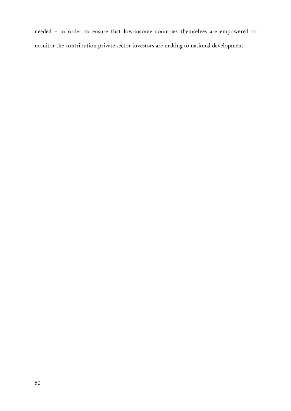needed – in order to ensure that low-income countries themselves are empowered to monitor the contribution private sector investors are making to national development.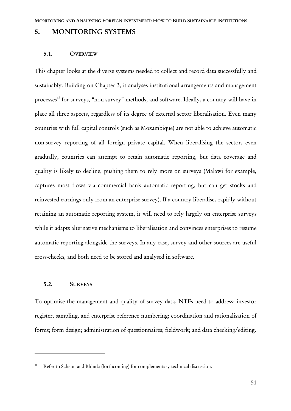# 5. MONITORING SYSTEMS

#### 5.1. OVERVIEW

This chapter looks at the diverse systems needed to collect and record data successfully and sustainably. Building on Chapter 3, it analyses institutional arrangements and management processes<sup>18</sup> for surveys, "non-survey" methods, and software. Ideally, a country will have in place all three aspects, regardless of its degree of external sector liberalisation. Even many countries with full capital controls (such as Mozambique) are not able to achieve automatic non-survey reporting of all foreign private capital. When liberalising the sector, even gradually, countries can attempt to retain automatic reporting, but data coverage and quality is likely to decline, pushing them to rely more on surveys (Malawi for example, captures most flows via commercial bank automatic reporting, but can get stocks and reinvested earnings only from an enterprise survey). If a country liberalises rapidly without retaining an automatic reporting system, it will need to rely largely on enterprise surveys while it adapts alternative mechanisms to liberalisation and convinces enterprises to resume automatic reporting alongside the surveys. In any case, survey and other sources are useful cross-checks, and both need to be stored and analysed in software.

#### 5.2. SURVEYS

 $\overline{a}$ 

To optimise the management and quality of survey data, NTFs need to address: investor register, sampling, and enterprise reference numbering; coordination and rationalisation of forms; form design; administration of questionnaires; fieldwork; and data checking/editing.

Refer to Scheun and Bhinda (forthcoming) for complementary technical discussion.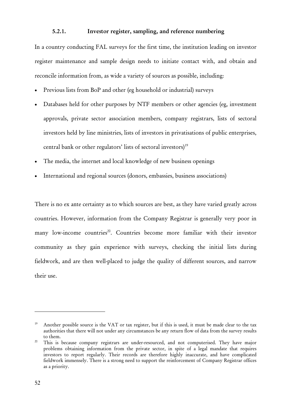# 5.2.1. Investor register, sampling, and reference numbering

In a country conducting FAL surveys for the first time, the institution leading on investor register maintenance and sample design needs to initiate contact with, and obtain and reconcile information from, as wide a variety of sources as possible, including:

- Previous lists from BoP and other (eg household or industrial) surveys
- Databases held for other purposes by NTF members or other agencies (eg, investment approvals, private sector association members, company registrars, lists of sectoral investors held by line ministries, lists of investors in privatisations of public enterprises, central bank or other regulators' lists of sectoral investors)<sup>19</sup>
- The media, the internet and local knowledge of new business openings
- International and regional sources (donors, embassies, business associations)

There is no ex ante certainty as to which sources are best, as they have varied greatly across countries. However, information from the Company Registrar is generally very poor in many low-income countries<sup>20</sup>. Countries become more familiar with their investor community as they gain experience with surveys, checking the initial lists during fieldwork, and are then well-placed to judge the quality of different sources, and narrow their use.

<sup>&</sup>lt;sup>19</sup> Another possible source is the VAT or tax register, but if this is used, it must be made clear to the tax authorities that there will not under any circumstances be any return flow of data from the survey results to them. 20 This is because company registrars are under-resourced, and not computerised. They have major

problems obtaining information from the private sector, in spite of a legal mandate that requires investors to report regularly. Their records are therefore highly inaccurate, and have complicated fieldwork immensely. There is a strong need to support the reinforcement of Company Registrar offices as a priority.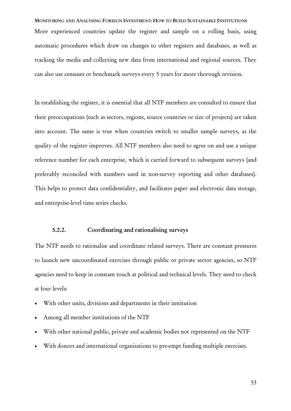MONITORING AND ANALYSING FOREIGN INVESTMENT: HOW TO BUILD SUSTAINABLE INSTITUTIONS More experienced countries update the register and sample on a rolling basis, using automatic procedures which draw on changes to other registers and databases, as well as tracking the media and collecting new data from international and regional sources. They can also use censuses or benchmark surveys every 5 years for more thorough revision.

In establishing the register, it is essential that all NTF members are consulted to ensure that their preoccupations (such as sectors, regions, source countries or size of projects) are taken into account. The same is true when countries switch to smaller sample surveys, as the quality of the register improves. All NTF members also need to agree on and use a unique reference number for each enterprise, which is carried forward to subsequent surveys (and preferably reconciled with numbers used in non-survey reporting and other databases). This helps to protect data confidentiality, and facilitates paper and electronic data storage, and enterprise-level time series checks.

# 5.2.2. Coordinating and rationalising surveys

The NTF needs to rationalise and coordinate related surveys. There are constant pressures to launch new uncoordinated exercises through public or private sector agencies, so NTF agencies need to keep in constant touch at political and technical levels. They need to check at four levels:

- With other units, divisions and departments in their institution
- Among all member institutions of the NTF
- With other national public, private and academic bodies not represented on the NTF
- With donors and international organisations to pre-empt funding multiple exercises.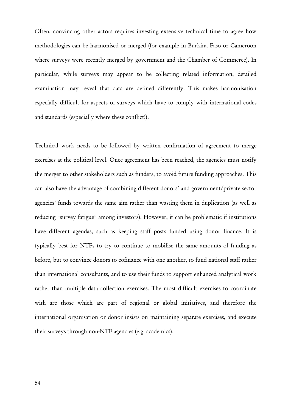Often, convincing other actors requires investing extensive technical time to agree how methodologies can be harmonised or merged (for example in Burkina Faso or Cameroon where surveys were recently merged by government and the Chamber of Commerce). In particular, while surveys may appear to be collecting related information, detailed examination may reveal that data are defined differently. This makes harmonisation especially difficult for aspects of surveys which have to comply with international codes and standards (especially where these conflict!).

Technical work needs to be followed by written confirmation of agreement to merge exercises at the political level. Once agreement has been reached, the agencies must notify the merger to other stakeholders such as funders, to avoid future funding approaches. This can also have the advantage of combining different donors' and government/private sector agencies' funds towards the same aim rather than wasting them in duplication (as well as reducing "survey fatigue" among investors). However, it can be problematic if institutions have different agendas, such as keeping staff posts funded using donor finance. It is typically best for NTFs to try to continue to mobilise the same amounts of funding as before, but to convince donors to cofinance with one another, to fund national staff rather than international consultants, and to use their funds to support enhanced analytical work rather than multiple data collection exercises. The most difficult exercises to coordinate with are those which are part of regional or global initiatives, and therefore the international organisation or donor insists on maintaining separate exercises, and execute their surveys through non-NTF agencies (e.g. academics).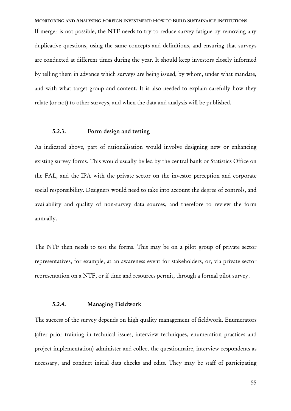MONITORING AND ANALYSING FOREIGN INVESTMENT: HOW TO BUILD SUSTAINABLE INSTITUTIONS If merger is not possible, the NTF needs to try to reduce survey fatigue by removing any duplicative questions, using the same concepts and definitions, and ensuring that surveys are conducted at different times during the year. It should keep investors closely informed by telling them in advance which surveys are being issued, by whom, under what mandate, and with what target group and content. It is also needed to explain carefully how they relate (or not) to other surveys, and when the data and analysis will be published.

# 5.2.3. Form design and testing

As indicated above, part of rationalisation would involve designing new or enhancing existing survey forms. This would usually be led by the central bank or Statistics Office on the FAL, and the IPA with the private sector on the investor perception and corporate social responsibility. Designers would need to take into account the degree of controls, and availability and quality of non-survey data sources, and therefore to review the form annually.

The NTF then needs to test the forms. This may be on a pilot group of private sector representatives, for example, at an awareness event for stakeholders, or, via private sector representation on a NTF, or if time and resources permit, through a formal pilot survey.

# 5.2.4. Managing Fieldwork

The success of the survey depends on high quality management of fieldwork. Enumerators (after prior training in technical issues, interview techniques, enumeration practices and project implementation) administer and collect the questionnaire, interview respondents as necessary, and conduct initial data checks and edits. They may be staff of participating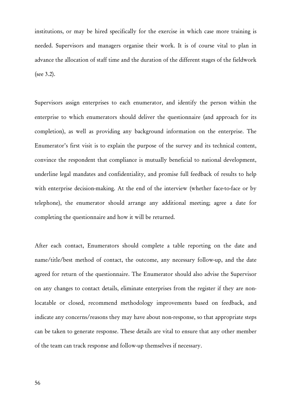institutions, or may be hired specifically for the exercise in which case more training is needed. Supervisors and managers organise their work. It is of course vital to plan in advance the allocation of staff time and the duration of the different stages of the fieldwork (see 3.2).

Supervisors assign enterprises to each enumerator, and identify the person within the enterprise to which enumerators should deliver the questionnaire (and approach for its completion), as well as providing any background information on the enterprise. The Enumerator's first visit is to explain the purpose of the survey and its technical content, convince the respondent that compliance is mutually beneficial to national development, underline legal mandates and confidentiality, and promise full feedback of results to help with enterprise decision-making. At the end of the interview (whether face-to-face or by telephone), the enumerator should arrange any additional meeting; agree a date for completing the questionnaire and how it will be returned.

After each contact, Enumerators should complete a table reporting on the date and name/title/best method of contact, the outcome, any necessary follow-up, and the date agreed for return of the questionnaire. The Enumerator should also advise the Supervisor on any changes to contact details, eliminate enterprises from the register if they are nonlocatable or closed, recommend methodology improvements based on feedback, and indicate any concerns/reasons they may have about non-response, so that appropriate steps can be taken to generate response. These details are vital to ensure that any other member of the team can track response and follow-up themselves if necessary.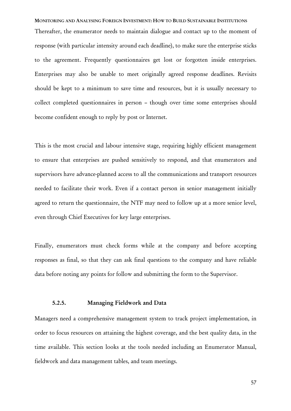MONITORING AND ANALYSING FOREIGN INVESTMENT: HOW TO BUILD SUSTAINABLE INSTITUTIONS Thereafter, the enumerator needs to maintain dialogue and contact up to the moment of response (with particular intensity around each deadline), to make sure the enterprise sticks to the agreement. Frequently questionnaires get lost or forgotten inside enterprises. Enterprises may also be unable to meet originally agreed response deadlines. Revisits should be kept to a minimum to save time and resources, but it is usually necessary to collect completed questionnaires in person – though over time some enterprises should become confident enough to reply by post or Internet.

This is the most crucial and labour intensive stage, requiring highly efficient management to ensure that enterprises are pushed sensitively to respond, and that enumerators and supervisors have advance-planned access to all the communications and transport resources needed to facilitate their work. Even if a contact person in senior management initially agreed to return the questionnaire, the NTF may need to follow up at a more senior level, even through Chief Executives for key large enterprises.

Finally, enumerators must check forms while at the company and before accepting responses as final, so that they can ask final questions to the company and have reliable data before noting any points for follow and submitting the form to the Supervisor.

# 5.2.5. Managing Fieldwork and Data

Managers need a comprehensive management system to track project implementation, in order to focus resources on attaining the highest coverage, and the best quality data, in the time available. This section looks at the tools needed including an Enumerator Manual, fieldwork and data management tables, and team meetings.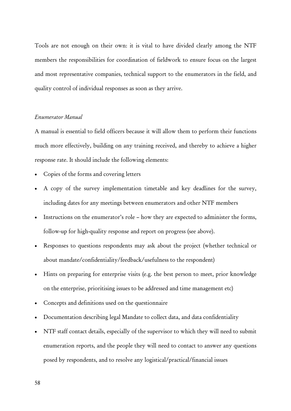Tools are not enough on their own: it is vital to have divided clearly among the NTF members the responsibilities for coordination of fieldwork to ensure focus on the largest and most representative companies, technical support to the enumerators in the field, and quality control of individual responses as soon as they arrive.

# *Enumerator Manual*

A manual is essential to field officers because it will allow them to perform their functions much more effectively, building on any training received, and thereby to achieve a higher response rate. It should include the following elements:

- Copies of the forms and covering letters
- A copy of the survey implementation timetable and key deadlines for the survey, including dates for any meetings between enumerators and other NTF members
- Instructions on the enumerator's role how they are expected to administer the forms, follow-up for high-quality response and report on progress (see above).
- Responses to questions respondents may ask about the project (whether technical or about mandate/confidentiality/feedback/usefulness to the respondent)
- Hints on preparing for enterprise visits (e.g. the best person to meet, prior knowledge on the enterprise, prioritising issues to be addressed and time management etc)
- Concepts and definitions used on the questionnaire
- Documentation describing legal Mandate to collect data, and data confidentiality
- NTF staff contact details, especially of the supervisor to which they will need to submit enumeration reports, and the people they will need to contact to answer any questions posed by respondents, and to resolve any logistical/practical/financial issues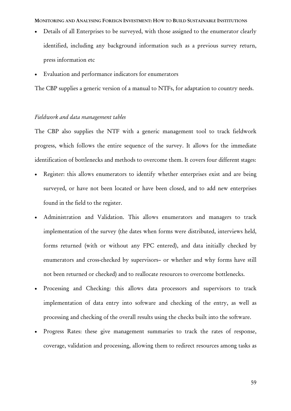MONITORING AND ANALYSING FOREIGN INVESTMENT: HOW TO BUILD SUSTAINABLE INSTITUTIONS

- Details of all Enterprises to be surveyed, with those assigned to the enumerator clearly identified, including any background information such as a previous survey return, press information etc
- Evaluation and performance indicators for enumerators

The CBP supplies a generic version of a manual to NTFs, for adaptation to country needs.

#### *Fieldwork and data management tables*

The CBP also supplies the NTF with a generic management tool to track fieldwork progress, which follows the entire sequence of the survey. It allows for the immediate identification of bottlenecks and methods to overcome them. It covers four different stages:

- Register: this allows enumerators to identify whether enterprises exist and are being surveyed, or have not been located or have been closed, and to add new enterprises found in the field to the register.
- Administration and Validation. This allows enumerators and managers to track implementation of the survey (the dates when forms were distributed, interviews held, forms returned (with or without any FPC entered), and data initially checked by enumerators and cross-checked by supervisors– or whether and why forms have still not been returned or checked) and to reallocate resources to overcome bottlenecks.
- Processing and Checking: this allows data processors and supervisors to track implementation of data entry into software and checking of the entry, as well as processing and checking of the overall results using the checks built into the software.
- Progress Rates: these give management summaries to track the rates of response, coverage, validation and processing, allowing them to redirect resources among tasks as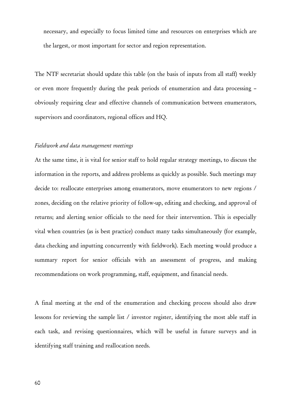necessary, and especially to focus limited time and resources on enterprises which are the largest, or most important for sector and region representation.

The NTF secretariat should update this table (on the basis of inputs from all staff) weekly or even more frequently during the peak periods of enumeration and data processing – obviously requiring clear and effective channels of communication between enumerators, supervisors and coordinators, regional offices and HQ.

#### *Fieldwork and data management meetings*

At the same time, it is vital for senior staff to hold regular strategy meetings, to discuss the information in the reports, and address problems as quickly as possible. Such meetings may decide to: reallocate enterprises among enumerators, move enumerators to new regions / zones, deciding on the relative priority of follow-up, editing and checking, and approval of returns; and alerting senior officials to the need for their intervention. This is especially vital when countries (as is best practice) conduct many tasks simultaneously (for example, data checking and inputting concurrently with fieldwork). Each meeting would produce a summary report for senior officials with an assessment of progress, and making recommendations on work programming, staff, equipment, and financial needs.

A final meeting at the end of the enumeration and checking process should also draw lessons for reviewing the sample list / investor register, identifying the most able staff in each task, and revising questionnaires, which will be useful in future surveys and in identifying staff training and reallocation needs.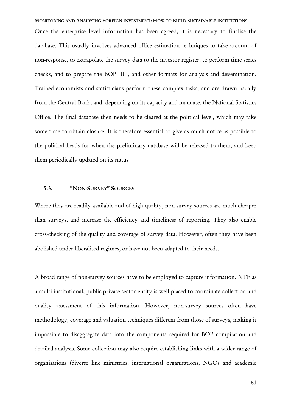# MONITORING AND ANALYSING FOREIGN INVESTMENT: HOW TO BUILD SUSTAINABLE INSTITUTIONS Once the enterprise level information has been agreed, it is necessary to finalise the database. This usually involves advanced office estimation techniques to take account of non-response, to extrapolate the survey data to the investor register, to perform time series checks, and to prepare the BOP, IIP, and other formats for analysis and dissemination. Trained economists and statisticians perform these complex tasks, and are drawn usually from the Central Bank, and, depending on its capacity and mandate, the National Statistics Office. The final database then needs to be cleared at the political level, which may take some time to obtain closure. It is therefore essential to give as much notice as possible to the political heads for when the preliminary database will be released to them, and keep

them periodically updated on its status

## 5.3. "NON-SURVEY" SOURCES

Where they are readily available and of high quality, non-survey sources are much cheaper than surveys, and increase the efficiency and timeliness of reporting. They also enable cross-checking of the quality and coverage of survey data. However, often they have been abolished under liberalised regimes, or have not been adapted to their needs.

A broad range of non-survey sources have to be employed to capture information. NTF as a multi-institutional, public-private sector entity is well placed to coordinate collection and quality assessment of this information. However, non-survey sources often have methodology, coverage and valuation techniques different from those of surveys, making it impossible to disaggregate data into the components required for BOP compilation and detailed analysis. Some collection may also require establishing links with a wider range of organisations (diverse line ministries, international organisations, NGOs and academic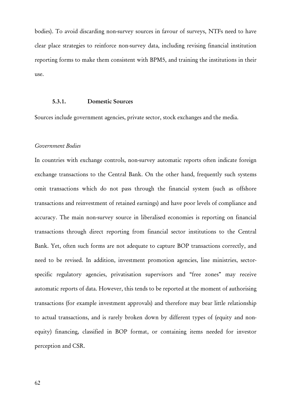bodies). To avoid discarding non-survey sources in favour of surveys, NTFs need to have clear place strategies to reinforce non-survey data, including revising financial institution reporting forms to make them consistent with BPM5, and training the institutions in their use.

# 5.3.1. Domestic Sources

Sources include government agencies, private sector, stock exchanges and the media.

# *Government Bodies*

In countries with exchange controls, non-survey automatic reports often indicate foreign exchange transactions to the Central Bank. On the other hand, frequently such systems omit transactions which do not pass through the financial system (such as offshore transactions and reinvestment of retained earnings) and have poor levels of compliance and accuracy. The main non-survey source in liberalised economies is reporting on financial transactions through direct reporting from financial sector institutions to the Central Bank. Yet, often such forms are not adequate to capture BOP transactions correctly, and need to be revised. In addition, investment promotion agencies, line ministries, sectorspecific regulatory agencies, privatisation supervisors and "free zones" may receive automatic reports of data. However, this tends to be reported at the moment of authorising transactions (for example investment approvals) and therefore may bear little relationship to actual transactions, and is rarely broken down by different types of (equity and nonequity) financing, classified in BOP format, or containing items needed for investor perception and CSR.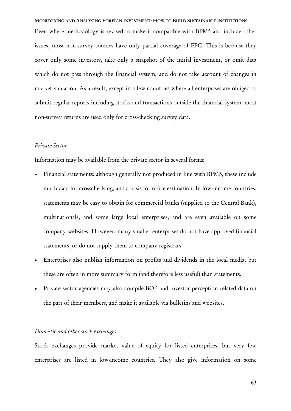MONITORING AND ANALYSING FOREIGN INVESTMENT: HOW TO BUILD SUSTAINABLE INSTITUTIONS Even where methodology is revised to make it compatible with BPM5 and include other issues, most non-survey sources have only partial coverage of FPC. This is because they cover only some investors, take only a snapshot of the initial investment, or omit data which do not pass through the financial system, and do not take account of changes in market valuation. As a result, except in a few countries where all enterprises are obliged to submit regular reports including stocks and transactions outside the financial system, most non-survey returns are used only for cross-checking survey data.

# *Private Sector*

Information may be available from the private sector in several forms:

- Financial statements: although generally not produced in line with BPM5, these include much data for crosschecking, and a basis for office estimation. In low-income countries, statements may be easy to obtain for commercial banks (supplied to the Central Bank), multinationals, and some large local enterprises, and are even available on some company websites. However, many smaller enterprises do not have approved financial statements, or do not supply them to company registrars.
- Enterprises also publish information on profits and dividends in the local media, but these are often in more summary form (and therefore less useful) than statements.
- Private sector agencies may also compile BOP and investor perception related data on the part of their members, and make it available via bulletins and websites.

# *Domestic and other stock exchanges*

Stock exchanges provide market value of equity for listed enterprises, but very few enterprises are listed in low-income countries. They also give information on some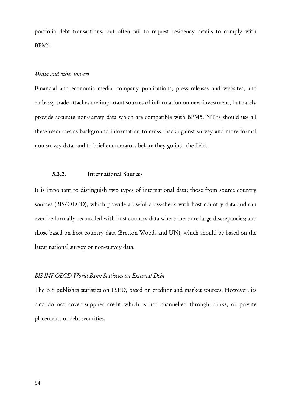portfolio debt transactions, but often fail to request residency details to comply with BPM5.

# *Media and other sources*

Financial and economic media, company publications, press releases and websites, and embassy trade attaches are important sources of information on new investment, but rarely provide accurate non-survey data which are compatible with BPM5. NTFs should use all these resources as background information to cross-check against survey and more formal non-survey data, and to brief enumerators before they go into the field.

# 5.3.2. International Sources

It is important to distinguish two types of international data: those from source country sources (BIS/OECD), which provide a useful cross-check with host country data and can even be formally reconciled with host country data where there are large discrepancies; and those based on host country data (Bretton Woods and UN), which should be based on the latest national survey or non-survey data.

#### *BIS-IMF-OECD-World Bank Statistics on External Debt*

The BIS publishes statistics on PSED, based on creditor and market sources. However, its data do not cover supplier credit which is not channelled through banks, or private placements of debt securities.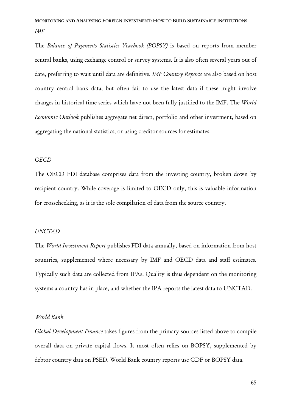# MONITORING AND ANALYSING FOREIGN INVESTMENT: HOW TO BUILD SUSTAINABLE INSTITUTIONS *IMF*

The *Balance of Payments Statistics Yearbook (BOPSY)* is based on reports from member central banks, using exchange control or survey systems. It is also often several years out of date, preferring to wait until data are definitive. *IMF Country Reports* are also based on host country central bank data, but often fail to use the latest data if these might involve changes in historical time series which have not been fully justified to the IMF. The *World Economic Outlook* publishes aggregate net direct, portfolio and other investment, based on aggregating the national statistics, or using creditor sources for estimates.

## *OECD*

The OECD FDI database comprises data from the investing country, broken down by recipient country. While coverage is limited to OECD only, this is valuable information for crosschecking, as it is the sole compilation of data from the source country.

#### *UNCTAD*

The *World Investment Report* publishes FDI data annually, based on information from host countries, supplemented where necessary by IMF and OECD data and staff estimates. Typically such data are collected from IPAs. Quality is thus dependent on the monitoring systems a country has in place, and whether the IPA reports the latest data to UNCTAD.

#### *World Bank*

*Global Development Finance* takes figures from the primary sources listed above to compile overall data on private capital flows. It most often relies on BOPSY, supplemented by debtor country data on PSED. World Bank country reports use GDF or BOPSY data.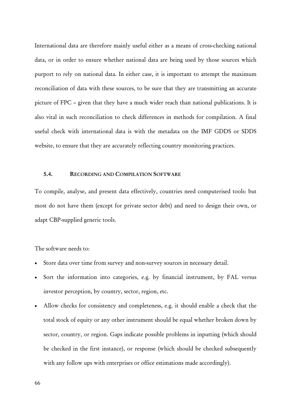International data are therefore mainly useful either as a means of cross-checking national data, or in order to ensure whether national data are being used by those sources which purport to rely on national data. In either case, it is important to attempt the maximum reconciliation of data with these sources, to be sure that they are transmitting an accurate picture of FPC – given that they have a much wider reach than national publications. It is also vital in such reconciliation to check differences in methods for compilation. A final useful check with international data is with the metadata on the IMF GDDS or SDDS website, to ensure that they are accurately reflecting country monitoring practices.

### 5.4. RECORDING AND COMPILATION SOFTWARE

To compile, analyse, and present data effectively, countries need computerised tools: but most do not have them (except for private sector debt) and need to design their own, or adapt CBP-supplied generic tools.

The software needs to:

- Store data over time from survey and non-survey sources in necessary detail.
- Sort the information into categories, e.g. by financial instrument, by FAL versus investor perception, by country, sector, region, etc.
- Allow checks for consistency and completeness, e.g. it should enable a check that the total stock of equity or any other instrument should be equal whether broken down by sector, country, or region. Gaps indicate possible problems in inputting (which should be checked in the first instance), or response (which should be checked subsequently with any follow ups with enterprises or office estimations made accordingly).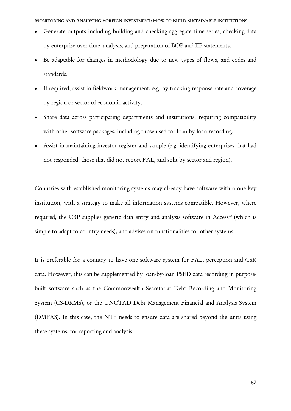MONITORING AND ANALYSING FOREIGN INVESTMENT: HOW TO BUILD SUSTAINABLE INSTITUTIONS

- Generate outputs including building and checking aggregate time series, checking data by enterprise over time, analysis, and preparation of BOP and IIP statements.
- Be adaptable for changes in methodology due to new types of flows, and codes and standards.
- If required, assist in fieldwork management, e.g. by tracking response rate and coverage by region or sector of economic activity.
- Share data across participating departments and institutions, requiring compatibility with other software packages, including those used for loan-by-loan recording.
- Assist in maintaining investor register and sample (e.g. identifying enterprises that had not responded, those that did not report FAL, and split by sector and region).

Countries with established monitoring systems may already have software within one key institution, with a strategy to make all information systems compatible. However, where required, the CBP supplies generic data entry and analysis software in Access© (which is simple to adapt to country needs), and advises on functionalities for other systems.

It is preferable for a country to have one software system for FAL, perception and CSR data. However, this can be supplemented by loan-by-loan PSED data recording in purposebuilt software such as the Commonwealth Secretariat Debt Recording and Monitoring System (CS-DRMS), or the UNCTAD Debt Management Financial and Analysis System (DMFAS). In this case, the NTF needs to ensure data are shared beyond the units using these systems, for reporting and analysis.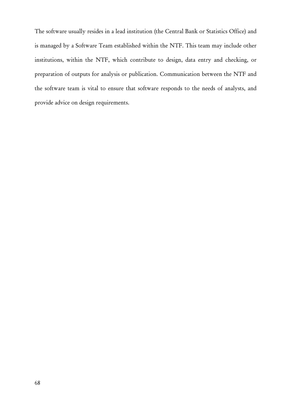The software usually resides in a lead institution (the Central Bank or Statistics Office) and is managed by a Software Team established within the NTF. This team may include other institutions, within the NTF, which contribute to design, data entry and checking, or preparation of outputs for analysis or publication. Communication between the NTF and the software team is vital to ensure that software responds to the needs of analysts, and provide advice on design requirements.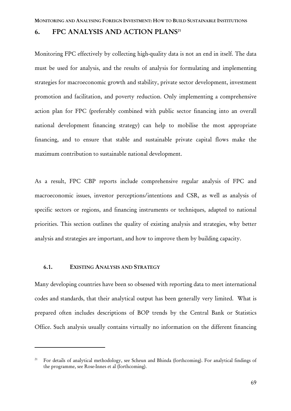## 6. FPC ANALYSIS AND ACTION PLANS<sup>21</sup>

Monitoring FPC effectively by collecting high-quality data is not an end in itself. The data must be used for analysis, and the results of analysis for formulating and implementing strategies for macroeconomic growth and stability, private sector development, investment promotion and facilitation, and poverty reduction. Only implementing a comprehensive action plan for FPC (preferably combined with public sector financing into an overall national development financing strategy) can help to mobilise the most appropriate financing, and to ensure that stable and sustainable private capital flows make the maximum contribution to sustainable national development.

As a result, FPC CBP reports include comprehensive regular analysis of FPC and macroeconomic issues, investor perceptions/intentions and CSR, as well as analysis of specific sectors or regions, and financing instruments or techniques, adapted to national priorities. This section outlines the quality of existing analysis and strategies, why better analysis and strategies are important, and how to improve them by building capacity.

#### 6.1. EXISTING ANALYSIS AND STRATEGY

 $\overline{a}$ 

Many developing countries have been so obsessed with reporting data to meet international codes and standards, that their analytical output has been generally very limited. What is prepared often includes descriptions of BOP trends by the Central Bank or Statistics Office. Such analysis usually contains virtually no information on the different financing

<sup>&</sup>lt;sup>21</sup> For details of analytical methodology, see Scheun and Bhinda (forthcoming). For analytical findings of the programme, see Rose-Innes et al (forthcoming).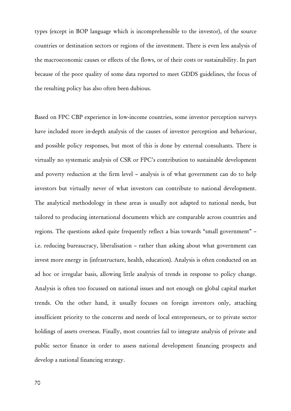types (except in BOP language which is incomprehensible to the investor), of the source countries or destination sectors or regions of the investment. There is even less analysis of the macroeconomic causes or effects of the flows, or of their costs or sustainability. In part because of the poor quality of some data reported to meet GDDS guidelines, the focus of the resulting policy has also often been dubious.

Based on FPC CBP experience in low-income countries, some investor perception surveys have included more in-depth analysis of the causes of investor perception and behaviour, and possible policy responses, but most of this is done by external consultants. There is virtually no systematic analysis of CSR or FPC's contribution to sustainable development and poverty reduction at the firm level – analysis is of what government can do to help investors but virtually never of what investors can contribute to national development. The analytical methodology in these areas is usually not adapted to national needs, but tailored to producing international documents which are comparable across countries and regions. The questions asked quite frequently reflect a bias towards "small government" – i.e. reducing bureaucracy, liberalisation – rather than asking about what government can invest more energy in (infrastructure, health, education). Analysis is often conducted on an ad hoc or irregular basis, allowing little analysis of trends in response to policy change. Analysis is often too focussed on national issues and not enough on global capital market trends. On the other hand, it usually focuses on foreign investors only, attaching insufficient priority to the concerns and needs of local entrepreneurs, or to private sector holdings of assets overseas. Finally, most countries fail to integrate analysis of private and public sector finance in order to assess national development financing prospects and develop a national financing strategy.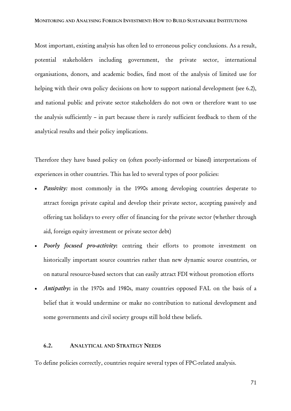Most important, existing analysis has often led to erroneous policy conclusions. As a result, potential stakeholders including government, the private sector, international organisations, donors, and academic bodies, find most of the analysis of limited use for helping with their own policy decisions on how to support national development (see 6.2), and national public and private sector stakeholders do not own or therefore want to use the analysis sufficiently – in part because there is rarely sufficient feedback to them of the analytical results and their policy implications.

Therefore they have based policy on (often poorly-informed or biased) interpretations of experiences in other countries. This has led to several types of poor policies:

- Passivity: most commonly in the 1990s among developing countries desperate to attract foreign private capital and develop their private sector, accepting passively and offering tax holidays to every offer of financing for the private sector (whether through aid, foreign equity investment or private sector debt)
- *Poorly focused pro-activity*: centring their efforts to promote investment on historically important source countries rather than new dynamic source countries, or on natural resource-based sectors that can easily attract FDI without promotion efforts
- *Antipathy*: in the 1970s and 1980s, many countries opposed FAL on the basis of a belief that it would undermine or make no contribution to national development and some governments and civil society groups still hold these beliefs.

## 6.2. ANALYTICAL AND STRATEGY NEEDS

To define policies correctly, countries require several types of FPC-related analysis.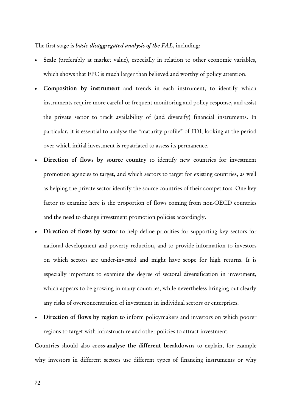The first stage is *basic disaggregated analysis of the FAL*, including:

- Scale (preferably at market value), especially in relation to other economic variables, which shows that FPC is much larger than believed and worthy of policy attention.
- Composition by instrument and trends in each instrument, to identify which instruments require more careful or frequent monitoring and policy response, and assist the private sector to track availability of (and diversify) financial instruments. In particular, it is essential to analyse the "maturity profile" of FDI, looking at the period over which initial investment is repatriated to assess its permanence.
- Direction of flows by source country to identify new countries for investment promotion agencies to target, and which sectors to target for existing countries, as well as helping the private sector identify the source countries of their competitors. One key factor to examine here is the proportion of flows coming from non-OECD countries and the need to change investment promotion policies accordingly.
- Direction of flows by sector to help define priorities for supporting key sectors for national development and poverty reduction, and to provide information to investors on which sectors are under-invested and might have scope for high returns. It is especially important to examine the degree of sectoral diversification in investment, which appears to be growing in many countries, while nevertheless bringing out clearly any risks of overconcentration of investment in individual sectors or enterprises.
- Direction of flows by region to inform policymakers and investors on which poorer regions to target with infrastructure and other policies to attract investment.

Countries should also cross-analyse the different breakdowns to explain, for example why investors in different sectors use different types of financing instruments or why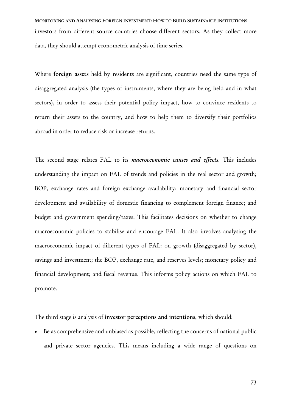MONITORING AND ANALYSING FOREIGN INVESTMENT: HOW TO BUILD SUSTAINABLE INSTITUTIONS investors from different source countries choose different sectors. As they collect more data, they should attempt econometric analysis of time series.

Where foreign assets held by residents are significant, countries need the same type of disaggregated analysis (the types of instruments, where they are being held and in what sectors), in order to assess their potential policy impact, how to convince residents to return their assets to the country, and how to help them to diversify their portfolios abroad in order to reduce risk or increase returns.

The second stage relates FAL to its *macroeconomic causes and effects*. This includes understanding the impact on FAL of trends and policies in the real sector and growth; BOP, exchange rates and foreign exchange availability; monetary and financial sector development and availability of domestic financing to complement foreign finance; and budget and government spending/taxes. This facilitates decisions on whether to change macroeconomic policies to stabilise and encourage FAL. It also involves analysing the macroeconomic impact of different types of FAL: on growth (disaggregated by sector), savings and investment; the BOP, exchange rate, and reserves levels; monetary policy and financial development; and fiscal revenue. This informs policy actions on which FAL to promote.

The third stage is analysis of investor perceptions and intentions, which should:

• Be as comprehensive and unbiased as possible, reflecting the concerns of national public and private sector agencies. This means including a wide range of questions on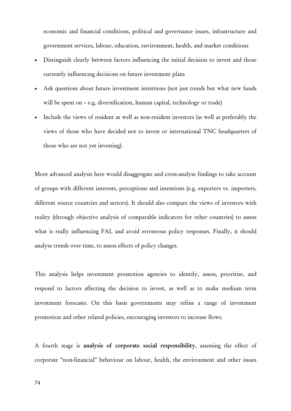economic and financial conditions, political and governance issues, infrastructure and government services, labour, education, environment, health, and market conditions

- Distinguish clearly between factors influencing the initial decision to invest and those currently influencing decisions on future investment plans
- Ask questions about future investment intentions (not just trends but what new funds will be spent on – e.g. diversification, human capital, technology or trade)
- Include the views of resident as well as non-resident investors (as well as preferably the views of those who have decided not to invest or international TNC headquarters of those who are not yet investing).

More advanced analysis here would disaggregate and cross-analyse findings to take account of groups with different interests, perceptions and intentions (e.g. exporters vs. importers, different source countries and sectors). It should also compare the views of investors with reality (through objective analysis of comparable indicators for other countries) to assess what is really influencing FAL and avoid erroneous policy responses. Finally, it should analyse trends over time, to assess effects of policy changes.

This analysis helps investment promotion agencies to identify, assess, prioritise, and respond to factors affecting the decision to invest, as well as to make medium term investment forecasts. On this basis governments may refine a range of investment promotion and other related policies, encouraging investors to increase flows.

A fourth stage is analysis of corporate social responsibility, assessing the effect of corporate "non-financial" behaviour on labour, health, the environment and other issues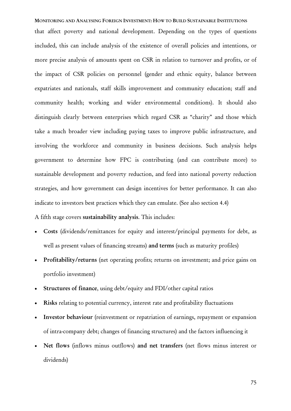MONITORING AND ANALYSING FOREIGN INVESTMENT: HOW TO BUILD SUSTAINABLE INSTITUTIONS that affect poverty and national development. Depending on the types of questions included, this can include analysis of the existence of overall policies and intentions, or more precise analysis of amounts spent on CSR in relation to turnover and profits, or of the impact of CSR policies on personnel (gender and ethnic equity, balance between expatriates and nationals, staff skills improvement and community education; staff and community health; working and wider environmental conditions). It should also distinguish clearly between enterprises which regard CSR as "charity" and those which take a much broader view including paying taxes to improve public infrastructure, and involving the workforce and community in business decisions. Such analysis helps government to determine how FPC is contributing (and can contribute more) to sustainable development and poverty reduction, and feed into national poverty reduction strategies, and how government can design incentives for better performance. It can also indicate to investors best practices which they can emulate. (See also section 4.4)

## A fifth stage covers sustainability analysis. This includes:

- Costs (dividends/remittances for equity and interest/principal payments for debt, as well as present values of financing streams) and terms (such as maturity profiles)
- Profitability/returns (net operating profits; returns on investment; and price gains on portfolio investment)
- Structures of finance, using debt/equity and FDI/other capital ratios
- Risks relating to potential currency, interest rate and profitability fluctuations
- Investor behaviour (reinvestment or repatriation of earnings, repayment or expansion of intra-company debt; changes of financing structures) and the factors influencing it
- Net flows (inflows minus outflows) and net transfers (net flows minus interest or dividends)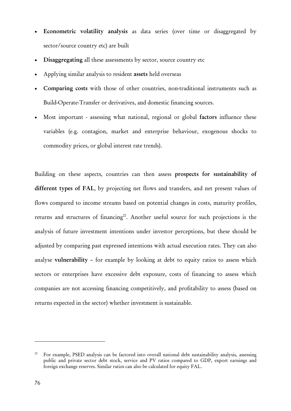- Econometric volatility analysis as data series (over time or disaggregated by sector/source country etc) are built
- Disaggregating all these assessments by sector, source country etc
- Applying similar analysis to resident assets held overseas
- Comparing costs with those of other countries, non-traditional instruments such as Build-Operate-Transfer or derivatives, and domestic financing sources.
- Most important assessing what national, regional or global factors influence these variables (e.g. contagion, market and enterprise behaviour, exogenous shocks to commodity prices, or global interest rate trends).

Building on these aspects, countries can then assess prospects for sustainability of different types of FAL, by projecting net flows and transfers, and net present values of flows compared to income streams based on potential changes in costs, maturity profiles, returns and structures of financing<sup>22</sup>. Another useful source for such projections is the analysis of future investment intentions under investor perceptions, but these should be adjusted by comparing past expressed intentions with actual execution rates. They can also analyse vulnerability – for example by looking at debt to equity ratios to assess which sectors or enterprises have excessive debt exposure, costs of financing to assess which companies are not accessing financing competitively, and profitability to assess (based on returns expected in the sector) whether investment is sustainable.

 $\overline{a}$ 

<sup>&</sup>lt;sup>22</sup> For example, PSED analysis can be factored into overall national debt sustainability analysis, assessing public and private sector debt stock, service and PV ratios compared to GDP, export earnings and foreign exchange reserves. Similar ratios can also be calculated for equity FAL.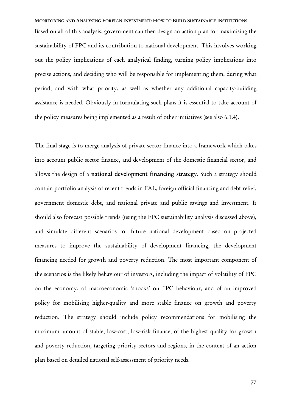MONITORING AND ANALYSING FOREIGN INVESTMENT: HOW TO BUILD SUSTAINABLE INSTITUTIONS Based on all of this analysis, government can then design an action plan for maximising the sustainability of FPC and its contribution to national development. This involves working out the policy implications of each analytical finding, turning policy implications into precise actions, and deciding who will be responsible for implementing them, during what period, and with what priority, as well as whether any additional capacity-building assistance is needed. Obviously in formulating such plans it is essential to take account of the policy measures being implemented as a result of other initiatives (see also 6.1.4).

The final stage is to merge analysis of private sector finance into a framework which takes into account public sector finance, and development of the domestic financial sector, and allows the design of a national development financing strategy. Such a strategy should contain portfolio analysis of recent trends in FAL, foreign official financing and debt relief, government domestic debt, and national private and public savings and investment. It should also forecast possible trends (using the FPC sustainability analysis discussed above), and simulate different scenarios for future national development based on projected measures to improve the sustainability of development financing, the development financing needed for growth and poverty reduction. The most important component of the scenarios is the likely behaviour of investors, including the impact of volatility of FPC on the economy, of macroeconomic 'shocks' on FPC behaviour, and of an improved policy for mobilising higher-quality and more stable finance on growth and poverty reduction. The strategy should include policy recommendations for mobilising the maximum amount of stable, low-cost, low-risk finance, of the highest quality for growth and poverty reduction, targeting priority sectors and regions, in the context of an action plan based on detailed national self-assessment of priority needs.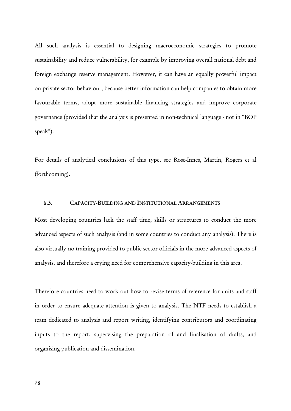All such analysis is essential to designing macroeconomic strategies to promote sustainability and reduce vulnerability, for example by improving overall national debt and foreign exchange reserve management. However, it can have an equally powerful impact on private sector behaviour, because better information can help companies to obtain more favourable terms, adopt more sustainable financing strategies and improve corporate governance (provided that the analysis is presented in non-technical language - not in "BOP speak").

For details of analytical conclusions of this type, see Rose-Innes, Martin, Rogers et al (forthcoming).

## 6.3. CAPACITY-BUILDING AND INSTITUTIONAL ARRANGEMENTS

Most developing countries lack the staff time, skills or structures to conduct the more advanced aspects of such analysis (and in some countries to conduct any analysis). There is also virtually no training provided to public sector officials in the more advanced aspects of analysis, and therefore a crying need for comprehensive capacity-building in this area.

Therefore countries need to work out how to revise terms of reference for units and staff in order to ensure adequate attention is given to analysis. The NTF needs to establish a team dedicated to analysis and report writing, identifying contributors and coordinating inputs to the report, supervising the preparation of and finalisation of drafts, and organising publication and dissemination.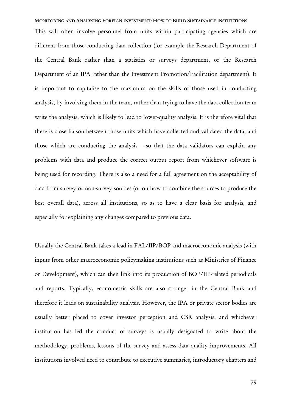MONITORING AND ANALYSING FOREIGN INVESTMENT: HOW TO BUILD SUSTAINABLE INSTITUTIONS

This will often involve personnel from units within participating agencies which are different from those conducting data collection (for example the Research Department of the Central Bank rather than a statistics or surveys department, or the Research Department of an IPA rather than the Investment Promotion/Facilitation department). It is important to capitalise to the maximum on the skills of those used in conducting analysis, by involving them in the team, rather than trying to have the data collection team write the analysis, which is likely to lead to lower-quality analysis. It is therefore vital that there is close liaison between those units which have collected and validated the data, and those which are conducting the analysis – so that the data validators can explain any problems with data and produce the correct output report from whichever software is being used for recording. There is also a need for a full agreement on the acceptability of data from survey or non-survey sources (or on how to combine the sources to produce the best overall data), across all institutions, so as to have a clear basis for analysis, and especially for explaining any changes compared to previous data.

Usually the Central Bank takes a lead in FAL/IIP/BOP and macroeconomic analysis (with inputs from other macroeconomic policymaking institutions such as Ministries of Finance or Development), which can then link into its production of BOP/IIP-related periodicals and reports. Typically, econometric skills are also stronger in the Central Bank and therefore it leads on sustainability analysis. However, the IPA or private sector bodies are usually better placed to cover investor perception and CSR analysis, and whichever institution has led the conduct of surveys is usually designated to write about the methodology, problems, lessons of the survey and assess data quality improvements. All institutions involved need to contribute to executive summaries, introductory chapters and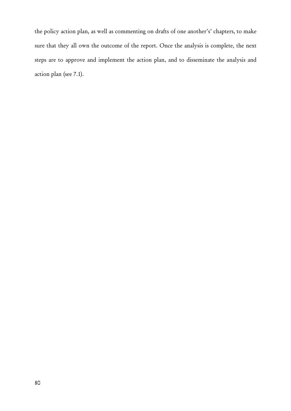the policy action plan, as well as commenting on drafts of one another's' chapters, to make sure that they all own the outcome of the report. Once the analysis is complete, the next steps are to approve and implement the action plan, and to disseminate the analysis and action plan (see 7.1).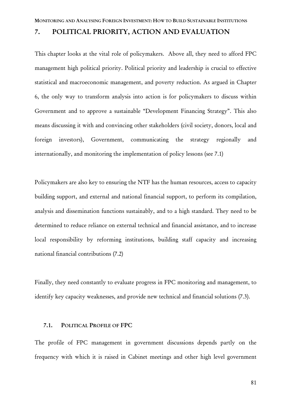## 7. POLITICAL PRIORITY, ACTION AND EVALUATION

This chapter looks at the vital role of policymakers. Above all, they need to afford FPC management high political priority. Political priority and leadership is crucial to effective statistical and macroeconomic management, and poverty reduction. As argued in Chapter 6, the only way to transform analysis into action is for policymakers to discuss within Government and to approve a sustainable "Development Financing Strategy". This also means discussing it with and convincing other stakeholders (civil society, donors, local and foreign investors), Government, communicating the strategy regionally and internationally, and monitoring the implementation of policy lessons (see 7.1)

Policymakers are also key to ensuring the NTF has the human resources, access to capacity building support, and external and national financial support, to perform its compilation, analysis and dissemination functions sustainably, and to a high standard. They need to be determined to reduce reliance on external technical and financial assistance, and to increase local responsibility by reforming institutions, building staff capacity and increasing national financial contributions (7.2)

Finally, they need constantly to evaluate progress in FPC monitoring and management, to identify key capacity weaknesses, and provide new technical and financial solutions (7.3).

## 7.1. POLITICAL PROFILE OF FPC

The profile of FPC management in government discussions depends partly on the frequency with which it is raised in Cabinet meetings and other high level government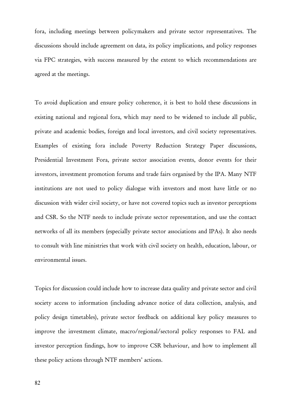fora, including meetings between policymakers and private sector representatives. The discussions should include agreement on data, its policy implications, and policy responses via FPC strategies, with success measured by the extent to which recommendations are agreed at the meetings.

To avoid duplication and ensure policy coherence, it is best to hold these discussions in existing national and regional fora, which may need to be widened to include all public, private and academic bodies, foreign and local investors, and civil society representatives. Examples of existing fora include Poverty Reduction Strategy Paper discussions, Presidential Investment Fora, private sector association events, donor events for their investors, investment promotion forums and trade fairs organised by the IPA. Many NTF institutions are not used to policy dialogue with investors and most have little or no discussion with wider civil society, or have not covered topics such as investor perceptions and CSR. So the NTF needs to include private sector representation, and use the contact networks of all its members (especially private sector associations and IPAs). It also needs to consult with line ministries that work with civil society on health, education, labour, or environmental issues.

Topics for discussion could include how to increase data quality and private sector and civil society access to information (including advance notice of data collection, analysis, and policy design timetables), private sector feedback on additional key policy measures to improve the investment climate, macro/regional/sectoral policy responses to FAL and investor perception findings, how to improve CSR behaviour, and how to implement all these policy actions through NTF members' actions.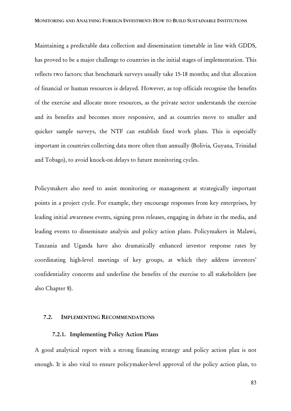Maintaining a predictable data collection and dissemination timetable in line with GDDS, has proved to be a major challenge to countries in the initial stages of implementation. This reflects two factors: that benchmark surveys usually take 15-18 months; and that allocation of financial or human resources is delayed. However, as top officials recognise the benefits of the exercise and allocate more resources, as the private sector understands the exercise and its benefits and becomes more responsive, and as countries move to smaller and quicker sample surveys, the NTF can establish fixed work plans. This is especially important in countries collecting data more often than annually (Bolivia, Guyana, Trinidad and Tobago), to avoid knock-on delays to future monitoring cycles.

Policymakers also need to assist monitoring or management at strategically important points in a project cycle. For example, they encourage responses from key enterprises, by leading initial awareness events, signing press releases, engaging in debate in the media, and leading events to disseminate analysis and policy action plans. Policymakers in Malawi, Tanzania and Uganda have also dramatically enhanced investor response rates by coordinating high-level meetings of key groups, at which they address investors' confidentiality concerns and underline the benefits of the exercise to all stakeholders (see also Chapter 8).

#### 7.2. IMPLEMENTING RECOMMENDATIONS

### 7.2.1. Implementing Policy Action Plans

A good analytical report with a strong financing strategy and policy action plan is not enough. It is also vital to ensure policymaker-level approval of the policy action plan, to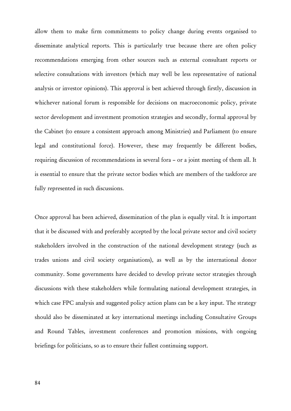allow them to make firm commitments to policy change during events organised to disseminate analytical reports. This is particularly true because there are often policy recommendations emerging from other sources such as external consultant reports or selective consultations with investors (which may well be less representative of national analysis or investor opinions). This approval is best achieved through firstly, discussion in whichever national forum is responsible for decisions on macroeconomic policy, private sector development and investment promotion strategies and secondly, formal approval by the Cabinet (to ensure a consistent approach among Ministries) and Parliament (to ensure legal and constitutional force). However, these may frequently be different bodies, requiring discussion of recommendations in several fora – or a joint meeting of them all. It is essential to ensure that the private sector bodies which are members of the taskforce are fully represented in such discussions.

Once approval has been achieved, dissemination of the plan is equally vital. It is important that it be discussed with and preferably accepted by the local private sector and civil society stakeholders involved in the construction of the national development strategy (such as trades unions and civil society organisations), as well as by the international donor community. Some governments have decided to develop private sector strategies through discussions with these stakeholders while formulating national development strategies, in which case FPC analysis and suggested policy action plans can be a key input. The strategy should also be disseminated at key international meetings including Consultative Groups and Round Tables, investment conferences and promotion missions, with ongoing briefings for politicians, so as to ensure their fullest continuing support.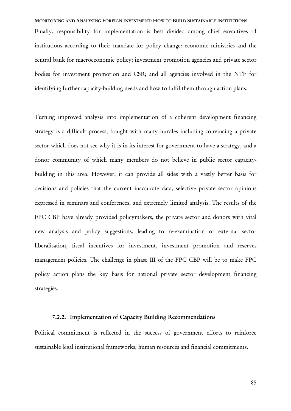MONITORING AND ANALYSING FOREIGN INVESTMENT: HOW TO BUILD SUSTAINABLE INSTITUTIONS Finally, responsibility for implementation is best divided among chief executives of institutions according to their mandate for policy change: economic ministries and the central bank for macroeconomic policy; investment promotion agencies and private sector bodies for investment promotion and CSR; and all agencies involved in the NTF for identifying further capacity-building needs and how to fulfil them through action plans.

Turning improved analysis into implementation of a coherent development financing strategy is a difficult process, fraught with many hurdles including convincing a private sector which does not see why it is in its interest for government to have a strategy, and a donor community of which many members do not believe in public sector capacitybuilding in this area. However, it can provide all sides with a vastly better basis for decisions and policies that the current inaccurate data, selective private sector opinions expressed in seminars and conferences, and extremely limited analysis. The results of the FPC CBP have already provided policymakers, the private sector and donors with vital new analysis and policy suggestions, leading to re-examination of external sector liberalisation, fiscal incentives for investment, investment promotion and reserves management policies. The challenge in phase III of the FPC CBP will be to make FPC policy action plans the key basis for national private sector development financing strategies.

### 7.2.2. Implementation of Capacity Building Recommendations

Political commitment is reflected in the success of government efforts to reinforce sustainable legal institutional frameworks, human resources and financial commitments.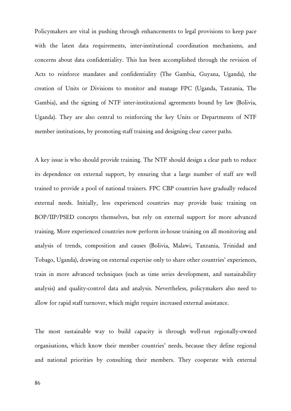Policymakers are vital in pushing through enhancements to legal provisions to keep pace with the latest data requirements, inter-institutional coordination mechanisms, and concerns about data confidentiality. This has been accomplished through the revision of Acts to reinforce mandates and confidentiality (The Gambia, Guyana, Uganda), the creation of Units or Divisions to monitor and manage FPC (Uganda, Tanzania, The Gambia), and the signing of NTF inter-institutional agreements bound by law (Bolivia, Uganda). They are also central to reinforcing the key Units or Departments of NTF member institutions, by promoting staff training and designing clear career paths.

A key issue is who should provide training. The NTF should design a clear path to reduce its dependence on external support, by ensuring that a large number of staff are well trained to provide a pool of national trainers. FPC CBP countries have gradually reduced external needs. Initially, less experienced countries may provide basic training on BOP/IIP/PSED concepts themselves, but rely on external support for more advanced training. More experienced countries now perform in-house training on all monitoring and analysis of trends, composition and causes (Bolivia, Malawi, Tanzania, Trinidad and Tobago, Uganda), drawing on external expertise only to share other countries' experiences, train in more advanced techniques (such as time series development, and sustainability analysis) and quality-control data and analysis. Nevertheless, policymakers also need to allow for rapid staff turnover, which might require increased external assistance.

The most sustainable way to build capacity is through well-run regionally-owned organisations, which know their member countries' needs, because they define regional and national priorities by consulting their members. They cooperate with external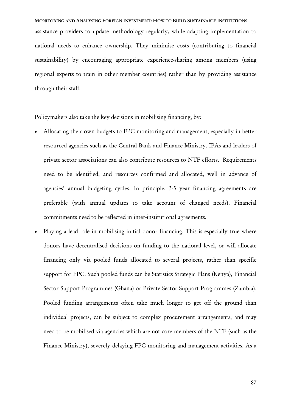MONITORING AND ANALYSING FOREIGN INVESTMENT: HOW TO BUILD SUSTAINABLE INSTITUTIONS assistance providers to update methodology regularly, while adapting implementation to national needs to enhance ownership. They minimise costs (contributing to financial sustainability) by encouraging appropriate experience-sharing among members (using regional experts to train in other member countries) rather than by providing assistance through their staff.

Policymakers also take the key decisions in mobilising financing, by:

- Allocating their own budgets to FPC monitoring and management, especially in better resourced agencies such as the Central Bank and Finance Ministry. IPAs and leaders of private sector associations can also contribute resources to NTF efforts. Requirements need to be identified, and resources confirmed and allocated, well in advance of agencies' annual budgeting cycles. In principle, 3-5 year financing agreements are preferable (with annual updates to take account of changed needs). Financial commitments need to be reflected in inter-institutional agreements.
- Playing a lead role in mobilising initial donor financing. This is especially true where donors have decentralised decisions on funding to the national level, or will allocate financing only via pooled funds allocated to several projects, rather than specific support for FPC. Such pooled funds can be Statistics Strategic Plans (Kenya), Financial Sector Support Programmes (Ghana) or Private Sector Support Programmes (Zambia). Pooled funding arrangements often take much longer to get off the ground than individual projects, can be subject to complex procurement arrangements, and may need to be mobilised via agencies which are not core members of the NTF (such as the Finance Ministry), severely delaying FPC monitoring and management activities. As a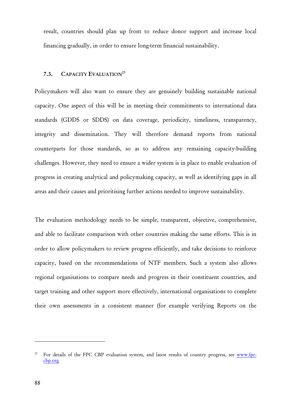result, countries should plan up front to reduce donor support and increase local financing gradually, in order to ensure long-term financial sustainability.

## 7.3. CAPACITY EVALUATION<sup>23</sup>

Policymakers will also want to ensure they are genuinely building sustainable national capacity. One aspect of this will be in meeting their commitments to international data standards (GDDS or SDDS) on data coverage, periodicity, timeliness, transparency, integrity and dissemination. They will therefore demand reports from national counterparts for those standards, so as to address any remaining capacity-building challenges. However, they need to ensure a wider system is in place to enable evaluation of progress in creating analytical and policymaking capacity, as well as identifying gaps in all areas and their causes and prioritising further actions needed to improve sustainability.

The evaluation methodology needs to be simple, transparent, objective, comprehensive, and able to facilitate comparison with other countries making the same efforts. This is in order to allow policymakers to review progress efficiently, and take decisions to reinforce capacity, based on the recommendations of NTF members. Such a system also allows regional organisations to compare needs and progress in their constituent countries, and target training and other support more effectively, international organisations to complete their own assessments in a consistent manner (for example verifying Reports on the

 $\overline{a}$ 

<sup>&</sup>lt;sup>23</sup> For details of the FPC CBP evaluation system, and latest results of country progress, see www.fpccbp.org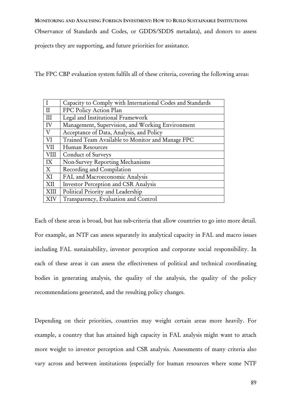MONITORING AND ANALYSING FOREIGN INVESTMENT: HOW TO BUILD SUSTAINABLE INSTITUTIONS

Observance of Standards and Codes, or GDDS/SDDS metadata), and donors to assess

projects they are supporting, and future priorities for assistance.

The FPC CBP evaluation system fulfils all of these criteria, covering the following areas:

|             | Capacity to Comply with International Codes and Standards |
|-------------|-----------------------------------------------------------|
| $_{\rm II}$ | FPC Policy Action Plan                                    |
| Ш           | Legal and Institutional Framework                         |
| IV          | Management, Supervision, and Working Environment          |
| V           | Acceptance of Data, Analysis, and Policy                  |
| VI          | Trained Team Available to Monitor and Manage FPC          |
| VII         | Human Resources                                           |
| VIII        | Conduct of Surveys                                        |
| IX          | Non-Survey Reporting Mechanisms                           |
| X           | Recording and Compilation                                 |
| XI          | FAL and Macroeconomic Analysis                            |
| XII         | Investor Perception and CSR Analysis                      |
| XIII        | Political Priority and Leadership                         |
| XIV         | Transparency, Evaluation and Control                      |

Each of these areas is broad, but has sub-criteria that allow countries to go into more detail. For example, an NTF can assess separately its analytical capacity in FAL and macro issues including FAL sustainability, investor perception and corporate social responsibility. In each of these areas it can assess the effectiveness of political and technical coordinating bodies in generating analysis, the quality of the analysis, the quality of the policy recommendations generated, and the resulting policy changes.

Depending on their priorities, countries may weight certain areas more heavily. For example, a country that has attained high capacity in FAL analysis might want to attach more weight to investor perception and CSR analysis. Assessments of many criteria also vary across and between institutions (especially for human resources where some NTF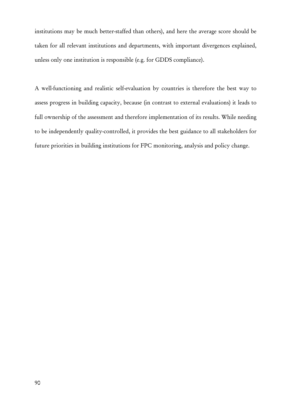institutions may be much better-staffed than others), and here the average score should be taken for all relevant institutions and departments, with important divergences explained, unless only one institution is responsible (e.g. for GDDS compliance).

A well-functioning and realistic self-evaluation by countries is therefore the best way to assess progress in building capacity, because (in contrast to external evaluations) it leads to full ownership of the assessment and therefore implementation of its results. While needing to be independently quality-controlled, it provides the best guidance to all stakeholders for future priorities in building institutions for FPC monitoring, analysis and policy change.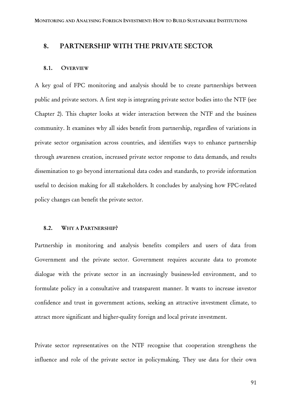## 8. PARTNERSHIP WITH THE PRIVATE SECTOR

#### 8.1. OVERVIEW

A key goal of FPC monitoring and analysis should be to create partnerships between public and private sectors. A first step is integrating private sector bodies into the NTF (see Chapter 2). This chapter looks at wider interaction between the NTF and the business community. It examines why all sides benefit from partnership, regardless of variations in private sector organisation across countries, and identifies ways to enhance partnership through awareness creation, increased private sector response to data demands, and results dissemination to go beyond international data codes and standards, to provide information useful to decision making for all stakeholders. It concludes by analysing how FPC-related policy changes can benefit the private sector.

#### 8.2. WHY A PARTNERSHIP?

Partnership in monitoring and analysis benefits compilers and users of data from Government and the private sector. Government requires accurate data to promote dialogue with the private sector in an increasingly business-led environment, and to formulate policy in a consultative and transparent manner. It wants to increase investor confidence and trust in government actions, seeking an attractive investment climate, to attract more significant and higher-quality foreign and local private investment.

Private sector representatives on the NTF recognise that cooperation strengthens the influence and role of the private sector in policymaking. They use data for their own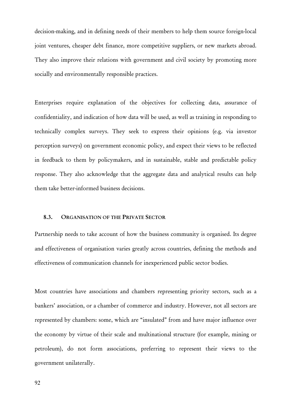decision-making, and in defining needs of their members to help them source foreign-local joint ventures, cheaper debt finance, more competitive suppliers, or new markets abroad. They also improve their relations with government and civil society by promoting more socially and environmentally responsible practices.

Enterprises require explanation of the objectives for collecting data, assurance of confidentiality, and indication of how data will be used, as well as training in responding to technically complex surveys. They seek to express their opinions (e.g. via investor perception surveys) on government economic policy, and expect their views to be reflected in feedback to them by policymakers, and in sustainable, stable and predictable policy response. They also acknowledge that the aggregate data and analytical results can help them take better-informed business decisions.

## 8.3. ORGANISATION OF THE PRIVATE SECTOR

Partnership needs to take account of how the business community is organised. Its degree and effectiveness of organisation varies greatly across countries, defining the methods and effectiveness of communication channels for inexperienced public sector bodies.

Most countries have associations and chambers representing priority sectors, such as a bankers' association, or a chamber of commerce and industry. However, not all sectors are represented by chambers: some, which are "insulated" from and have major influence over the economy by virtue of their scale and multinational structure (for example, mining or petroleum), do not form associations, preferring to represent their views to the government unilaterally.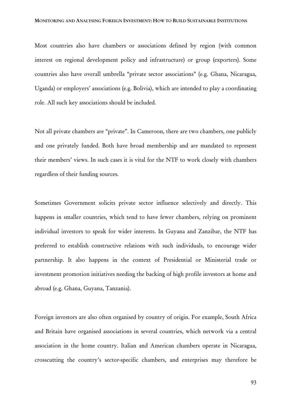Most countries also have chambers or associations defined by region (with common interest on regional development policy and infrastructure) or group (exporters). Some countries also have overall umbrella "private sector associations" (e.g. Ghana, Nicaragua, Uganda) or employers' associations (e.g. Bolivia), which are intended to play a coordinating role. All such key associations should be included.

Not all private chambers are "private". In Cameroon, there are two chambers, one publicly and one privately funded. Both have broad membership and are mandated to represent their members' views. In such cases it is vital for the NTF to work closely with chambers regardless of their funding sources.

Sometimes Government solicits private sector influence selectively and directly. This happens in smaller countries, which tend to have fewer chambers, relying on prominent individual investors to speak for wider interests. In Guyana and Zanzibar, the NTF has preferred to establish constructive relations with such individuals, to encourage wider partnership. It also happens in the context of Presidential or Ministerial trade or investment promotion initiatives needing the backing of high profile investors at home and abroad (e.g. Ghana, Guyana, Tanzania).

Foreign investors are also often organised by country of origin. For example, South Africa and Britain have organised associations in several countries, which network via a central association in the home country. Italian and American chambers operate in Nicaragua, crosscutting the country's sector-specific chambers, and enterprises may therefore be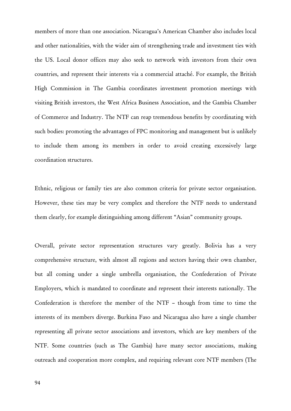members of more than one association. Nicaragua's American Chamber also includes local and other nationalities, with the wider aim of strengthening trade and investment ties with the US. Local donor offices may also seek to network with investors from their own countries, and represent their interests via a commercial attaché. For example, the British High Commission in The Gambia coordinates investment promotion meetings with visiting British investors, the West Africa Business Association, and the Gambia Chamber of Commerce and Industry. The NTF can reap tremendous benefits by coordinating with such bodies: promoting the advantages of FPC monitoring and management but is unlikely to include them among its members in order to avoid creating excessively large coordination structures.

Ethnic, religious or family ties are also common criteria for private sector organisation. However, these ties may be very complex and therefore the NTF needs to understand them clearly, for example distinguishing among different "Asian" community groups.

Overall, private sector representation structures vary greatly. Bolivia has a very comprehensive structure, with almost all regions and sectors having their own chamber, but all coming under a single umbrella organisation, the Confederation of Private Employers, which is mandated to coordinate and represent their interests nationally. The Confederation is therefore the member of the NTF – though from time to time the interests of its members diverge. Burkina Faso and Nicaragua also have a single chamber representing all private sector associations and investors, which are key members of the NTF. Some countries (such as The Gambia) have many sector associations, making outreach and cooperation more complex, and requiring relevant core NTF members (The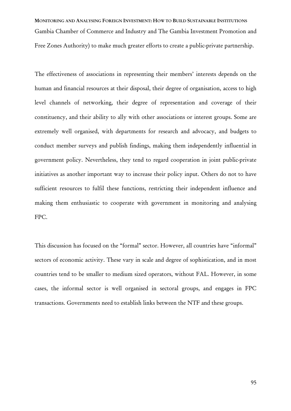MONITORING AND ANALYSING FOREIGN INVESTMENT: HOW TO BUILD SUSTAINABLE INSTITUTIONS Gambia Chamber of Commerce and Industry and The Gambia Investment Promotion and Free Zones Authority) to make much greater efforts to create a public-private partnership.

The effectiveness of associations in representing their members' interests depends on the human and financial resources at their disposal, their degree of organisation, access to high level channels of networking, their degree of representation and coverage of their constituency, and their ability to ally with other associations or interest groups. Some are extremely well organised, with departments for research and advocacy, and budgets to conduct member surveys and publish findings, making them independently influential in government policy. Nevertheless, they tend to regard cooperation in joint public-private initiatives as another important way to increase their policy input. Others do not to have sufficient resources to fulfil these functions, restricting their independent influence and making them enthusiastic to cooperate with government in monitoring and analysing FPC.

This discussion has focused on the "formal" sector. However, all countries have "informal" sectors of economic activity. These vary in scale and degree of sophistication, and in most countries tend to be smaller to medium sized operators, without FAL. However, in some cases, the informal sector is well organised in sectoral groups, and engages in FPC transactions. Governments need to establish links between the NTF and these groups.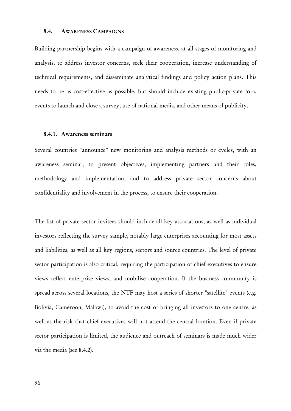#### 8.4. AWARENESS CAMPAIGNS

Building partnership begins with a campaign of awareness, at all stages of monitoring and analysis, to address investor concerns, seek their cooperation, increase understanding of technical requirements, and disseminate analytical findings and policy action plans. This needs to be as cost-effective as possible, but should include existing public-private fora, events to launch and close a survey, use of national media, and other means of publicity.

#### 8.4.1. Awareness seminars

Several countries "announce" new monitoring and analysis methods or cycles, with an awareness seminar, to present objectives, implementing partners and their roles, methodology and implementation, and to address private sector concerns about confidentiality and involvement in the process, to ensure their cooperation.

The list of private sector invitees should include all key associations, as well as individual investors reflecting the survey sample, notably large enterprises accounting for most assets and liabilities, as well as all key regions, sectors and source countries. The level of private sector participation is also critical, requiring the participation of chief executives to ensure views reflect enterprise views, and mobilise cooperation. If the business community is spread across several locations, the NTF may host a series of shorter "satellite" events (e.g. Bolivia, Cameroon, Malawi), to avoid the cost of bringing all investors to one centre, as well as the risk that chief executives will not attend the central location. Even if private sector participation is limited, the audience and outreach of seminars is made much wider via the media (see 8.4.2).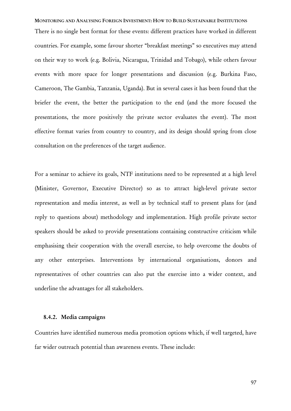MONITORING AND ANALYSING FOREIGN INVESTMENT: HOW TO BUILD SUSTAINABLE INSTITUTIONS There is no single best format for these events: different practices have worked in different countries. For example, some favour shorter "breakfast meetings" so executives may attend on their way to work (e.g. Bolivia, Nicaragua, Trinidad and Tobago), while others favour events with more space for longer presentations and discussion (e.g. Burkina Faso, Cameroon, The Gambia, Tanzania, Uganda). But in several cases it has been found that the briefer the event, the better the participation to the end (and the more focused the presentations, the more positively the private sector evaluates the event). The most effective format varies from country to country, and its design should spring from close consultation on the preferences of the target audience.

For a seminar to achieve its goals, NTF institutions need to be represented at a high level (Minister, Governor, Executive Director) so as to attract high-level private sector representation and media interest, as well as by technical staff to present plans for (and reply to questions about) methodology and implementation. High profile private sector speakers should be asked to provide presentations containing constructive criticism while emphasising their cooperation with the overall exercise, to help overcome the doubts of any other enterprises. Interventions by international organisations, donors and representatives of other countries can also put the exercise into a wider context, and underline the advantages for all stakeholders.

### 8.4.2. Media campaigns

Countries have identified numerous media promotion options which, if well targeted, have far wider outreach potential than awareness events. These include: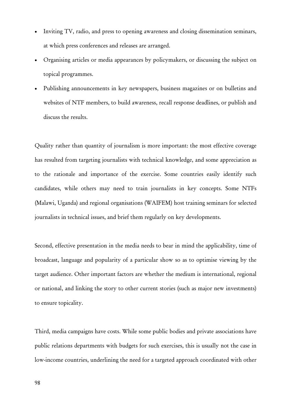- Inviting TV, radio, and press to opening awareness and closing dissemination seminars, at which press conferences and releases are arranged.
- Organising articles or media appearances by policymakers, or discussing the subject on topical programmes.
- Publishing announcements in key newspapers, business magazines or on bulletins and websites of NTF members, to build awareness, recall response deadlines, or publish and discuss the results.

Quality rather than quantity of journalism is more important: the most effective coverage has resulted from targeting journalists with technical knowledge, and some appreciation as to the rationale and importance of the exercise. Some countries easily identify such candidates, while others may need to train journalists in key concepts. Some NTFs (Malawi, Uganda) and regional organisations (WAIFEM) host training seminars for selected journalists in technical issues, and brief them regularly on key developments.

Second, effective presentation in the media needs to bear in mind the applicability, time of broadcast, language and popularity of a particular show so as to optimise viewing by the target audience. Other important factors are whether the medium is international, regional or national, and linking the story to other current stories (such as major new investments) to ensure topicality.

Third, media campaigns have costs. While some public bodies and private associations have public relations departments with budgets for such exercises, this is usually not the case in low-income countries, underlining the need for a targeted approach coordinated with other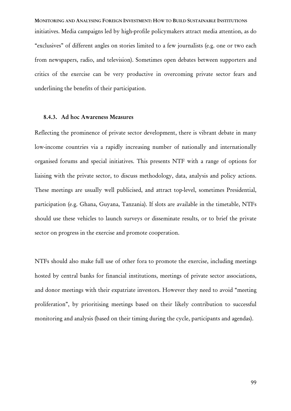MONITORING AND ANALYSING FOREIGN INVESTMENT: HOW TO BUILD SUSTAINABLE INSTITUTIONS initiatives. Media campaigns led by high-profile policymakers attract media attention, as do "exclusives" of different angles on stories limited to a few journalists (e.g. one or two each from newspapers, radio, and television). Sometimes open debates between supporters and critics of the exercise can be very productive in overcoming private sector fears and underlining the benefits of their participation.

## 8.4.3. Ad hoc Awareness Measures

Reflecting the prominence of private sector development, there is vibrant debate in many low-income countries via a rapidly increasing number of nationally and internationally organised forums and special initiatives. This presents NTF with a range of options for liaising with the private sector, to discuss methodology, data, analysis and policy actions. These meetings are usually well publicised, and attract top-level, sometimes Presidential, participation (e.g. Ghana, Guyana, Tanzania). If slots are available in the timetable, NTFs should use these vehicles to launch surveys or disseminate results, or to brief the private sector on progress in the exercise and promote cooperation.

NTFs should also make full use of other fora to promote the exercise, including meetings hosted by central banks for financial institutions, meetings of private sector associations, and donor meetings with their expatriate investors. However they need to avoid "meeting proliferation", by prioritising meetings based on their likely contribution to successful monitoring and analysis (based on their timing during the cycle, participants and agendas).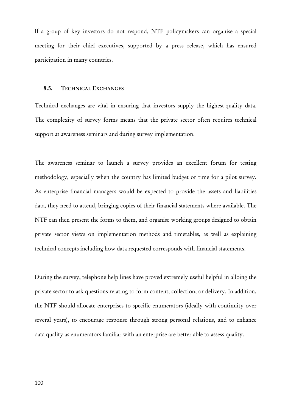If a group of key investors do not respond, NTF policymakers can organise a special meeting for their chief executives, supported by a press release, which has ensured participation in many countries.

#### 8.5. TECHNICAL EXCHANGES

Technical exchanges are vital in ensuring that investors supply the highest-quality data. The complexity of survey forms means that the private sector often requires technical support at awareness seminars and during survey implementation.

The awareness seminar to launch a survey provides an excellent forum for testing methodology, especially when the country has limited budget or time for a pilot survey. As enterprise financial managers would be expected to provide the assets and liabilities data, they need to attend, bringing copies of their financial statements where available. The NTF can then present the forms to them, and organise working groups designed to obtain private sector views on implementation methods and timetables, as well as explaining technical concepts including how data requested corresponds with financial statements.

During the survey, telephone help lines have proved extremely useful helpful in alloing the private sector to ask questions relating to form content, collection, or delivery. In addition, the NTF should allocate enterprises to specific enumerators (ideally with continuity over several years), to encourage response through strong personal relations, and to enhance data quality as enumerators familiar with an enterprise are better able to assess quality.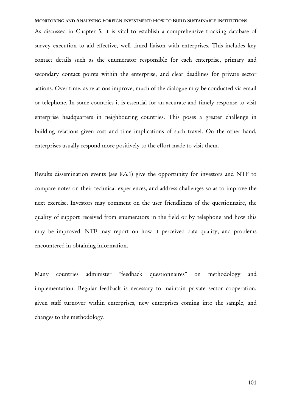MONITORING AND ANALYSING FOREIGN INVESTMENT: HOW TO BUILD SUSTAINABLE INSTITUTIONS As discussed in Chapter 5, it is vital to establish a comprehensive tracking database of survey execution to aid effective, well timed liaison with enterprises. This includes key contact details such as the enumerator responsible for each enterprise, primary and secondary contact points within the enterprise, and clear deadlines for private sector actions. Over time, as relations improve, much of the dialogue may be conducted via email or telephone. In some countries it is essential for an accurate and timely response to visit enterprise headquarters in neighbouring countries. This poses a greater challenge in building relations given cost and time implications of such travel. On the other hand, enterprises usually respond more positively to the effort made to visit them.

Results dissemination events (see 8.6.1) give the opportunity for investors and NTF to compare notes on their technical experiences, and address challenges so as to improve the next exercise. Investors may comment on the user friendliness of the questionnaire, the quality of support received from enumerators in the field or by telephone and how this may be improved. NTF may report on how it perceived data quality, and problems encountered in obtaining information.

Many countries administer "feedback questionnaires" on methodology and implementation. Regular feedback is necessary to maintain private sector cooperation, given staff turnover within enterprises, new enterprises coming into the sample, and changes to the methodology.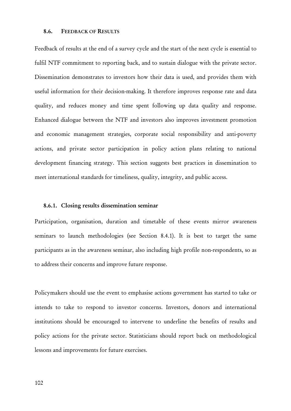#### 8.6. FEEDBACK OF RESULTS

Feedback of results at the end of a survey cycle and the start of the next cycle is essential to fulfil NTF commitment to reporting back, and to sustain dialogue with the private sector. Dissemination demonstrates to investors how their data is used, and provides them with useful information for their decision-making. It therefore improves response rate and data quality, and reduces money and time spent following up data quality and response. Enhanced dialogue between the NTF and investors also improves investment promotion and economic management strategies, corporate social responsibility and anti-poverty actions, and private sector participation in policy action plans relating to national development financing strategy. This section suggests best practices in dissemination to meet international standards for timeliness, quality, integrity, and public access.

## 8.6.1. Closing results dissemination seminar

Participation, organisation, duration and timetable of these events mirror awareness seminars to launch methodologies (see Section 8.4.1). It is best to target the same participants as in the awareness seminar, also including high profile non-respondents, so as to address their concerns and improve future response.

Policymakers should use the event to emphasise actions government has started to take or intends to take to respond to investor concerns. Investors, donors and international institutions should be encouraged to intervene to underline the benefits of results and policy actions for the private sector. Statisticians should report back on methodological lessons and improvements for future exercises.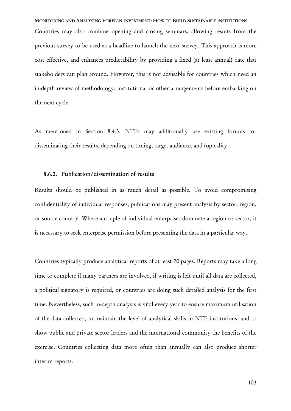MONITORING AND ANALYSING FOREIGN INVESTMENT: HOW TO BUILD SUSTAINABLE INSTITUTIONS Countries may also combine opening and closing seminars, allowing results from the previous survey to be used as a headline to launch the next survey. This approach is more cost effective, and enhances predictability by providing a fixed (at least annual) date that stakeholders can plan around. However, this is not advisable for countries which need an in-depth review of methodology, institutional or other arrangements before embarking on the next cycle.

As mentioned in Section 8.4.3, NTFs may additionally use existing forums for disseminating their results, depending on timing, target audience, and topicality.

# 8.6.2. Publication/dissemination of results

Results should be published in as much detail as possible. To avoid compromising confidentiality of individual responses, publications may present analysis by sector, region, or source country. Where a couple of individual enterprises dominate a region or sector, it is necessary to seek enterprise permission before presenting the data in a particular way.

Countries typically produce analytical reports of at least 70 pages. Reports may take a long time to complete if many partners are involved, if writing is left until all data are collected, a political signatory is required, or countries are doing such detailed analysis for the first time. Nevertheless, such in-depth analysis is vital every year to ensure maximum utilisation of the data collected, to maintain the level of analytical skills in NTF institutions, and to show public and private sector leaders and the international community the benefits of the exercise. Countries collecting data more often than annually can also produce shorter interim reports.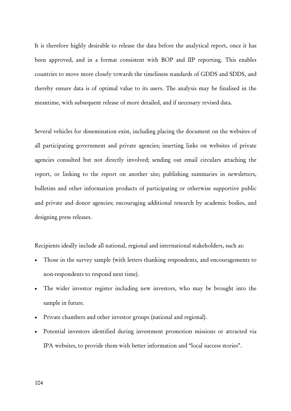It is therefore highly desirable to release the data before the analytical report, once it has been approved, and in a format consistent with BOP and IIP reporting. This enables countries to move more closely towards the timeliness standards of GDDS and SDDS, and thereby ensure data is of optimal value to its users. The analysis may be finalised in the meantime, with subsequent release of more detailed, and if necessary revised data.

Several vehicles for dissemination exist, including placing the document on the websites of all participating government and private agencies; inserting links on websites of private agencies consulted but not directly involved; sending out email circulars attaching the report, or linking to the report on another site; publishing summaries in newsletters, bulletins and other information products of participating or otherwise supportive public and private and donor agencies; encouraging additional research by academic bodies, and designing press releases.

Recipients ideally include all national, regional and international stakeholders, such as:

- Those in the survey sample (with letters thanking respondents, and encouragements to non-respondents to respond next time).
- The wider investor register including new investors, who may be brought into the sample in future.
- Private chambers and other investor groups (national and regional).
- Potential investors identified during investment promotion missions or attracted via IPA websites, to provide them with better information and "local success stories".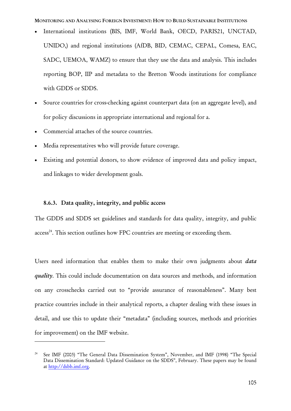- International institutions (BIS, IMF, World Bank, OECD, PARIS21, UNCTAD, UNIDO,) and regional institutions (AfDB, BID, CEMAC, CEPAL, Comesa, EAC, SADC, UEMOA, WAMZ) to ensure that they use the data and analysis. This includes reporting BOP, IIP and metadata to the Bretton Woods institutions for compliance with GDDS or SDDS.
- Source countries for cross-checking against counterpart data (on an aggregate level), and for policy discussions in appropriate international and regional for a.
- Commercial attaches of the source countries.
- Media representatives who will provide future coverage.
- Existing and potential donors, to show evidence of improved data and policy impact, and linkages to wider development goals.

# 8.6.3. Data quality, integrity, and public access

 $\overline{a}$ 

The GDDS and SDDS set guidelines and standards for data quality, integrity, and public  $access^{24}$ . This section outlines how FPC countries are meeting or exceeding them.

Users need information that enables them to make their own judgments about *data quality*. This could include documentation on data sources and methods, and information on any crosschecks carried out to "provide assurance of reasonableness". Many best practice countries include in their analytical reports, a chapter dealing with these issues in detail, and use this to update their "metadata" (including sources, methods and priorities for improvement) on the IMF website.

<sup>24</sup> See IMF (2003) "The General Data Dissemination System", November, and IMF (1998) "The Special Data Dissemination Standard: Updated Guidance on the SDDS", February. These papers may be found at http://dsbb.imf.org.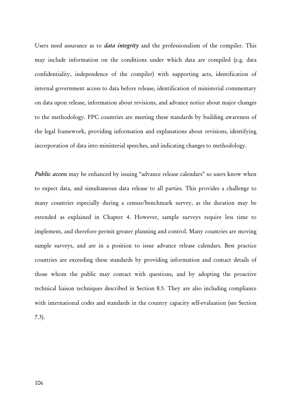Users need assurance as to *data integrity* and the professionalism of the compiler. This may include information on the conditions under which data are compiled (e.g. data confidentiality, independence of the compiler) with supporting acts, identification of internal government access to data before release, identification of ministerial commentary on data upon release, information about revisions, and advance notice about major changes to the methodology. FPC countries are meeting these standards by building awareness of the legal framework, providing information and explanations about revisions, identifying incorporation of data into ministerial speeches, and indicating changes to methodology.

*Public access* may be enhanced by issuing "advance release calendars" so users know when to expect data, and simultaneous data release to all parties. This provides a challenge to many countries especially during a census/benchmark survey, as the duration may be extended as explained in Chapter 4. However, sample surveys require less time to implement, and therefore permit greater planning and control. Many countries are moving sample surveys, and are in a position to issue advance release calendars. Best practice countries are exceeding these standards by providing information and contact details of those whom the public may contact with questions, and by adopting the proactive technical liaison techniques described in Section 8.5. They are also including compliance with international codes and standards in the country capacity self-evaluation (see Section 7.3).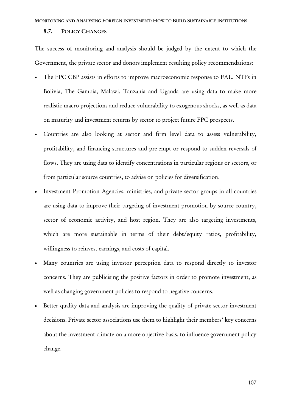#### MONITORING AND ANALYSING FOREIGN INVESTMENT: HOW TO BUILD SUSTAINABLE INSTITUTIONS

## 8.7. POLICY CHANGES

The success of monitoring and analysis should be judged by the extent to which the Government, the private sector and donors implement resulting policy recommendations:

- The FPC CBP assists in efforts to improve macroeconomic response to FAL. NTFs in Bolivia, The Gambia, Malawi, Tanzania and Uganda are using data to make more realistic macro projections and reduce vulnerability to exogenous shocks, as well as data on maturity and investment returns by sector to project future FPC prospects.
- Countries are also looking at sector and firm level data to assess vulnerability, profitability, and financing structures and pre-empt or respond to sudden reversals of flows. They are using data to identify concentrations in particular regions or sectors, or from particular source countries, to advise on policies for diversification.
- Investment Promotion Agencies, ministries, and private sector groups in all countries are using data to improve their targeting of investment promotion by source country, sector of economic activity, and host region. They are also targeting investments, which are more sustainable in terms of their debt/equity ratios, profitability, willingness to reinvest earnings, and costs of capital.
- Many countries are using investor perception data to respond directly to investor concerns. They are publicising the positive factors in order to promote investment, as well as changing government policies to respond to negative concerns.
- Better quality data and analysis are improving the quality of private sector investment decisions. Private sector associations use them to highlight their members' key concerns about the investment climate on a more objective basis, to influence government policy change.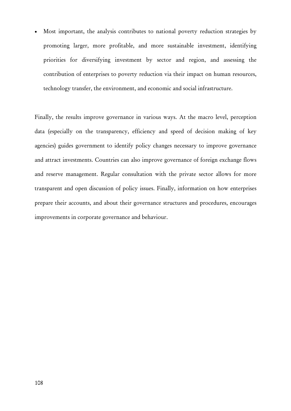Most important, the analysis contributes to national poverty reduction strategies by promoting larger, more profitable, and more sustainable investment, identifying priorities for diversifying investment by sector and region, and assessing the contribution of enterprises to poverty reduction via their impact on human resources, technology transfer, the environment, and economic and social infrastructure.

Finally, the results improve governance in various ways. At the macro level, perception data (especially on the transparency, efficiency and speed of decision making of key agencies) guides government to identify policy changes necessary to improve governance and attract investments. Countries can also improve governance of foreign exchange flows and reserve management. Regular consultation with the private sector allows for more transparent and open discussion of policy issues. Finally, information on how enterprises prepare their accounts, and about their governance structures and procedures, encourages improvements in corporate governance and behaviour.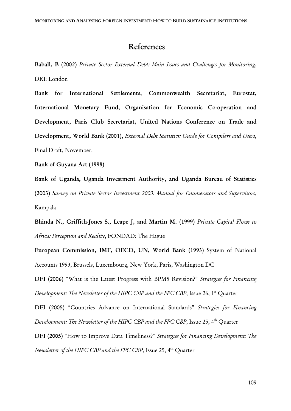# References

Baball, B (2002) *Private Sector External Debt: Main Issues and Challenges for Monitoring*, DRI: London

Bank for International Settlements, Commonwealth Secretariat, Eurostat, International Monetary Fund, Organisation for Economic Co-operation and Development, Paris Club Secretariat, United Nations Conference on Trade and Development, World Bank (2001), *External Debt Statistics: Guide for Compilers and Users*, Final Draft, November.

Bank of Guyana Act (1998)

Bank of Uganda, Uganda Investment Authority, and Uganda Bureau of Statistics (2003) *Survey on Private Sector Investment 2003: Manual for Enumerators and Supervisors*, Kampala

Bhinda N., Griffith-Jones S., Leape J, and Martin M. (1999) *Private Capital Flows to Africa: Perception and Reality*, FONDAD: The Hague

European Commission, IMF, OECD, UN, World Bank (1993) System of National Accounts 1993, Brussels, Luxembourg, New York, Paris, Washington DC

DFI (2006) "What is the Latest Progress with BPM5 Revision?" *Strategies for Financing Development: The Newsletter of the HIPC CBP and the FPC CBP*, Issue 26, 1<sup>st</sup> Quarter

DFI (2005) "Countries Advance on International Standards" *Strategies for Financing Development: The Newsletter of the HIPC CBP and the FPC CBP*, Issue 25, 4<sup>th</sup> Quarter

DFI (2005) "How to Improve Data Timeliness?" *Strategies for Financing Development: The Newsletter of the HIPC CBP and the FPC CBP*, Issue 25, 4<sup>th</sup> Quarter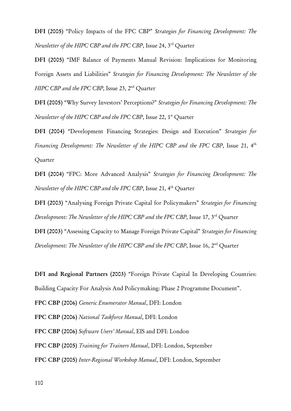DFI (2005) "Policy Impacts of the FPC CBP" *Strategies for Financing Development: The Newsletter of the HIPC CBP and the FPC CBP*, Issue 24, 3rd Quarter

DFI (2005) "IMF Balance of Payments Manual Revision: Implications for Monitoring Foreign Assets and Liabilities" *Strategies for Financing Development: The Newsletter of the HIPC CBP and the FPC CBP*, Issue 23, 2<sup>nd</sup> Ouarter

DFI (2005) "Why Survey Investors' Perceptions?" *Strategies for Financing Development: The Newsletter of the HIPC CBP and the FPC CBP*, Issue 22, 1<sup>st</sup> Quarter

DFI (2004) "Development Financing Strategies: Design and Execution" *Strategies for Financing Development: The Newsletter of the HIPC CBP and the FPC CBP*, Issue 21, 4<sup>th</sup> **Ouarter** 

DFI (2004) "FPC: More Advanced Analysis" *Strategies for Financing Development: The Newsletter of the HIPC CBP and the FPC CBP*, Issue 21, 4th Quarter

DFI (2003) "Analysing Foreign Private Capital for Policymakers" *Strategies for Financing Development: The Newsletter of the HIPC CBP and the FPC CBP*, Issue 17, 3<sup>rd</sup> Quarter

DFI (2003) "Assessing Capacity to Manage Foreign Private Capital" *Strategies for Financing Development: The Newsletter of the HIPC CBP and the FPC CBP*, Issue 16, 2<sup>nd</sup> Quarter

DFI and Regional Partners (2003) "Foreign Private Capital In Developing Countries:

Building Capacity For Analysis And Policymaking: Phase 2 Programme Document".

FPC CBP (2006) *Generic Enumerator Manual*, DFI: London

FPC CBP (2006) *National Taskforce Manual*, DFI: London

FPC CBP (2006) *Software Users' Manual*, EIS and DFI: London

FPC CBP (2005) *Training for Trainers Manual*, DFI: London, September

FPC CBP (2005) *Inter-Regional Workshop Manual*, DFI: London, September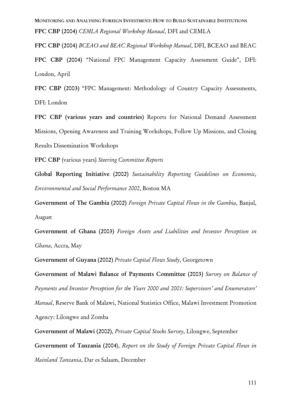MONITORING AND ANALYSING FOREIGN INVESTMENT: HOW TO BUILD SUSTAINABLE INSTITUTIONS FPC CBP (2004) *CEMLA Regional Workshop Manual*, DFI and CEMLA

FPC CBP (2004) *BCEAO and BEAC Regional Workshop Manual*, DFI, BCEAO and BEAC

FPC CBP (2004) "National FPC Management Capacity Assessment Guide", DFI: London, April

FPC CBP (2003) "FPC Management: Methodology of Country Capacity Assessments, DFI: London

FPC CBP (various years and countries) Reports for National Demand Assessment Missions, Opening Awareness and Training Workshops, Follow Up Missions, and Closing Results Dissemination Workshops

FPC CBP (various years) *Steering Committee Reports*

Global Reporting Initiative (2002) *Sustainability Reporting Guidelines on Economic, Environmental and Social Performance 2002*, Boston MA

Government of The Gambia (2002) *Foreign Private Capital Flows in the Gambia*, Banjul, August

Government of Ghana (2003) *Foreign Assets and Liabilities and Investor Perception in Ghana*, Accra, May

Government of Guyana (2002) *Private Capital Flows Study*, Georgetown

Government of Malawi Balance of Payments Committee (2003) *Survey on Balance of Payments and Investor Perception for the Years 2000 and 2001: Supervisors' and Enumerators' Manual*, Reserve Bank of Malawi, National Statistics Office, Malawi Investment Promotion Agency: Lilongwe and Zomba

Government of Malawi (2002), *Private Capital Stocks Survey*, Lilongwe, September

Government of Tanzania (2004), *Report on the Study of Foreign Private Capital Flows in Mainland Tanzania*, Dar es Salaam, December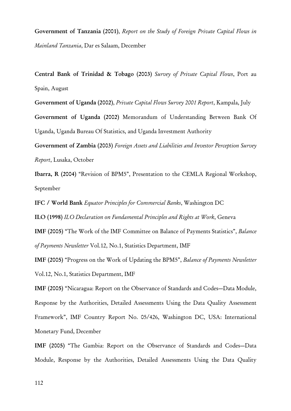Government of Tanzania (2001), *Report on the Study of Foreign Private Capital Flows in Mainland Tanzania*, Dar es Salaam, December

Central Bank of Trinidad & Tobago (2003) *Survey of Private Capital Flows*, Port au Spain, August

Government of Uganda (2002), *Private Capital Flows Survey 2001 Report*, Kampala, July

Government of Uganda (2002) Memorandum of Understanding Between Bank Of Uganda, Uganda Bureau Of Statistics, and Uganda Investment Authority

Government of Zambia (2003) *Foreign Assets and Liabilities and Investor Perception Survey Report*, Lusaka, October

Ibarra, R (2004) "Revision of BPM5", Presentation to the CEMLA Regional Workshop, September

IFC / World Bank *Equator Principles for Commercial Banks*, Washington DC

ILO (1998) *ILO Declaration on Fundamental Principles and Rights at Work*, Geneva

IMF (2005) "The Work of the IMF Committee on Balance of Payments Statistics", *Balance of Payments Newsletter* Vol.12, No.1, Statistics Department, IMF

IMF (2005) "Progress on the Work of Updating the BPM5", *Balance of Payments Newsletter* Vol.12, No.1, Statistics Department, IMF

IMF (2005) "Nicaragua: Report on the Observance of Standards and Codes—Data Module, Response by the Authorities, Detailed Assessments Using the Data Quality Assessment Framework", IMF Country Report No. 05/426, Washington DC, USA: International Monetary Fund, December

IMF (2005) "The Gambia: Report on the Observance of Standards and Codes—Data Module, Response by the Authorities, Detailed Assessments Using the Data Quality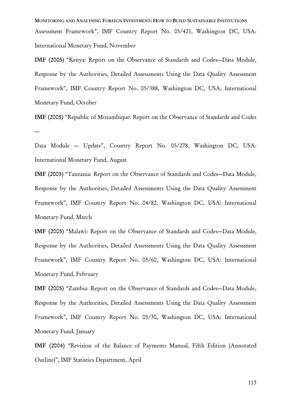MONITORING AND ANALYSING FOREIGN INVESTMENT: HOW TO BUILD SUSTAINABLE INSTITUTIONS Assessment Framework", IMF Country Report No. 05/421, Washington DC, USA: International Monetary Fund, November

IMF (2005) "Kenya: Report on the Observance of Standards and Codes—Data Module, Response by the Authorities, Detailed Assessments Using the Data Quality Assessment Framework", IMF Country Report No. 05/388, Washington DC, USA: International Monetary Fund, October

IMF (2005) "Republic of Mozambique: Report on the Observance of Standards and Codes —

Data Module — Update", Country Report No. 05/278, Washington DC, USA: International Monetary Fund, August

IMF (2005) "Tanzania: Report on the Observance of Standards and Codes—Data Module, Response by the Authorities, Detailed Assessments Using the Data Quality Assessment Framework", IMF Country Report No. 04/82, Washington DC, USA: International Monetary Fund, March

IMF (2005) "Malawi: Report on the Observance of Standards and Codes—Data Module, Response by the Authorities, Detailed Assessments Using the Data Quality Assessment Framework", IMF Country Report No. 05/60, Washington DC, USA: International Monetary Fund, February

IMF (2005) "Zambia: Report on the Observance of Standards and Codes—Data Module, Response by the Authorities, Detailed Assessments Using the Data Quality Assessment Framework", IMF Country Report No. 05/30, Washington DC, USA: International Monetary Fund, January

IMF (2004) "Revision of the Balance of Payments Manual, Fifth Edition (Annotated Outline)", IMF Statistics Department, April

113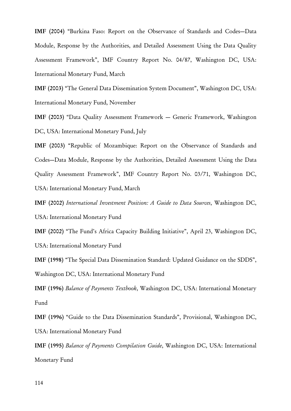IMF (2004) "Burkina Faso: Report on the Observance of Standards and Codes—Data Module, Response by the Authorities, and Detailed Assessment Using the Data Quality Assessment Framework", IMF Country Report No. 04/87, Washington DC, USA: International Monetary Fund, March

IMF (2003) "The General Data Dissemination System Document", Washington DC, USA: International Monetary Fund, November

IMF (2003) "Data Quality Assessment Framework — Generic Framework, Washington DC, USA: International Monetary Fund, July

IMF (2003) "Republic of Mozambique: Report on the Observance of Standards and Codes—Data Module, Response by the Authorities, Detailed Assessment Using the Data Quality Assessment Framework", IMF Country Report No. 03/71, Washington DC, USA: International Monetary Fund, March

IMF (2002) *International Investment Position: A Guide to Data Sources*, Washington DC, USA: International Monetary Fund

IMF (2002) "The Fund's Africa Capacity Building Initiative", April 23, Washington DC, USA: International Monetary Fund

IMF (1998) "The Special Data Dissemination Standard: Updated Guidance on the SDDS", Washington DC, USA: International Monetary Fund

IMF (1996) *Balance of Payments Textbook*, Washington DC, USA: International Monetary Fund

IMF (1996) "Guide to the Data Dissemination Standards", Provisional, Washington DC, USA: International Monetary Fund

IMF (1995) *Balance of Payments Compilation Guide*, Washington DC, USA: International Monetary Fund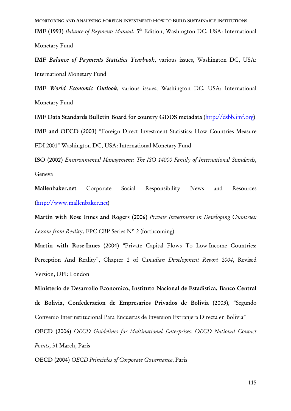MONITORING AND ANALYSING FOREIGN INVESTMENT: HOW TO BUILD SUSTAINABLE INSTITUTIONS IMF (1993) *Balance of Payments Manual*, 5<sup>th</sup> Edition, Washington DC, USA: International Monetary Fund

IMF *Balance of Payments Statistics Yearbook*, various issues, Washington DC, USA: International Monetary Fund

IMF *World Economic Outlook*, various issues, Washington DC, USA: International Monetary Fund

IMF Data Standards Bulletin Board for country GDDS metadata (http://dsbb.imf.org) IMF and OECD (2003) "Foreign Direct Investment Statistics: How Countries Measure FDI 2001" Washington DC, USA: International Monetary Fund

ISO (2002) *Environmental Management: The ISO 14000 Family of International Standards*, Geneva

Mallenbaker.net Corporate Social Responsibility News and Resources (http://www.mallenbaker.net)

Martin with Rose Innes and Rogers (2006) *Private Investment in Developing Countries: Lessons from Realit*y, FPC CBP Series Nº 2 (forthcoming)

Martin with Rose-Innes (2004) "Private Capital Flows To Low-Income Countries: Perception And Reality", Chapter 2 of *Canadian Development Report 2004*, Revised Version, DFI: London

Ministerio de Desarrollo Economico, Instituto Nacional de Estadistica, Banco Central de Bolivia, Confederacion de Empresarios Privados de Bolivia (2003), "Segundo Convenio Interinstitucional Para Encuestas de Inversion Extranjera Directa en Bolivia"

OECD (2006) *OECD Guidelines for Multinational Enterprises: OECD National Contact Points*, 31 March, Paris

OECD (2004) *OECD Principles of Corporate Governance*, Paris